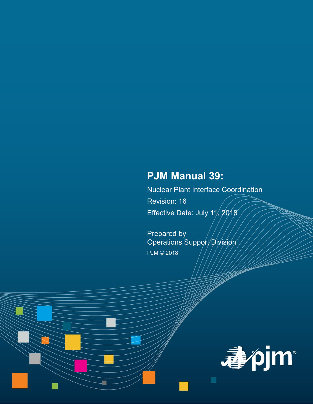# **PJM Manual 39:**

Nuclear Plant Interface Coordination Revision: 16 Effective Date: July  $11/2018$ 

Prepared by Operations Support Division PJM © 2018

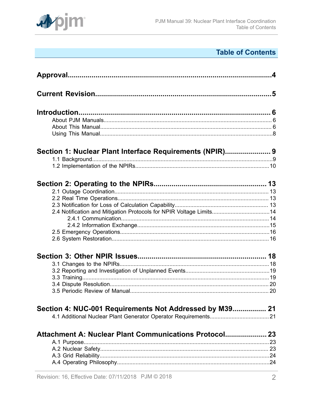

# **Table of Contents**

|                                                                     | $\mathbf{A}$ |
|---------------------------------------------------------------------|--------------|
|                                                                     |              |
|                                                                     |              |
|                                                                     |              |
|                                                                     |              |
|                                                                     |              |
|                                                                     |              |
| Section 1: Nuclear Plant Interface Requirements (NPIR) 9            |              |
|                                                                     |              |
|                                                                     |              |
|                                                                     |              |
|                                                                     |              |
|                                                                     |              |
|                                                                     |              |
| 2.4 Notification and Mitigation Protocols for NPIR Voltage Limits14 |              |
|                                                                     |              |
|                                                                     |              |
|                                                                     |              |
|                                                                     |              |
|                                                                     |              |
|                                                                     |              |
|                                                                     |              |
|                                                                     |              |
|                                                                     |              |
|                                                                     |              |
| Section 4: NUC-001 Requirements Not Addressed by M39 21             |              |
|                                                                     |              |
| Attachment A: Nuclear Plant Communications Protocol 23              |              |
|                                                                     | 23           |
|                                                                     |              |
|                                                                     |              |
|                                                                     |              |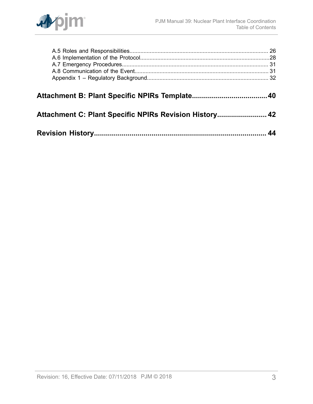

| Attachment C: Plant Specific NPIRs Revision History 42 |  |
|--------------------------------------------------------|--|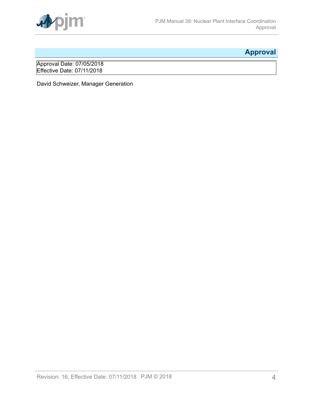

# <span id="page-3-0"></span>**Approval**

Approval Date: 07/05/2018 Effective Date: 07/11/2018

David Schweizer, Manager Generation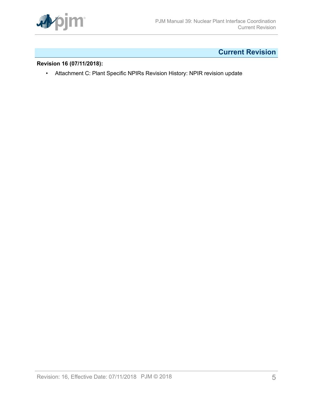

# <span id="page-4-0"></span>**Current Revision**

# **Revision 16 (07/11/2018):**

• Attachment C: Plant Specific NPIRs Revision History: NPIR revision update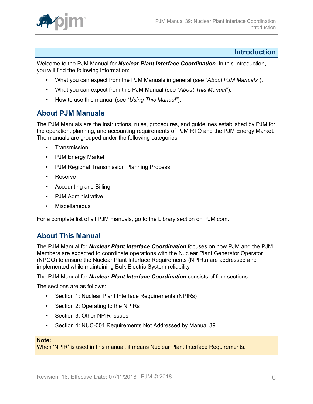

# <span id="page-5-0"></span>**Introduction**

Welcome to the PJM Manual for *Nuclear Plant Interface Coordination*. In this Introduction, you will find the following information:

- What you can expect from the PJM Manuals in general (see "*About PJM Manuals*").
- What you can expect from this PJM Manual (see "*About This Manual*").
- How to use this manual (see "*Using This Manual*").

# <span id="page-5-1"></span>**About PJM Manuals**

The PJM Manuals are the instructions, rules, procedures, and guidelines established by PJM for the operation, planning, and accounting requirements of PJM RTO and the PJM Energy Market. The manuals are grouped under the following categories:

- **Transmission**
- PJM Energy Market
- PJM Regional Transmission Planning Process
- Reserve
- Accounting and Billing
- PJM Administrative
- **Miscellaneous**

For a complete list of all PJM manuals, go to the Library section on PJM.com.

# <span id="page-5-2"></span>**About This Manual**

The PJM Manual for *Nuclear Plant Interface Coordination* focuses on how PJM and the PJM Members are expected to coordinate operations with the Nuclear Plant Generator Operator (NPGO) to ensure the Nuclear Plant Interface Requirements (NPIRs) are addressed and implemented while maintaining Bulk Electric System reliability.

The PJM Manual for *Nuclear Plant Interface Coordination* consists of four sections.

The sections are as follows:

- Section 1: Nuclear Plant Interface Requirements (NPIRs)
- Section 2: Operating to the NPIRs
- Section 3: Other NPIR Issues
- Section 4: NUC-001 Requirements Not Addressed by Manual 39

#### **Note:**

When 'NPIR' is used in this manual, it means Nuclear Plant Interface Requirements.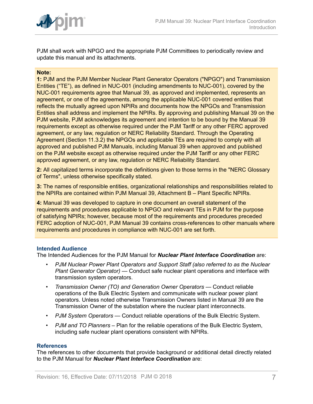

PJM shall work with NPGO and the appropriate PJM Committees to periodically review and update this manual and its attachments.

#### **Note:**

**1:** PJM and the PJM Member Nuclear Plant Generator Operators ("NPGO") and Transmission Entities ("TE"), as defined in NUC-001 (including amendments to NUC-001), covered by the NUC-001 requirements agree that Manual 39, as approved and implemented, represents an agreement, or one of the agreements, among the applicable NUC-001 covered entities that reflects the mutually agreed upon NPIRs and documents how the NPGOs and Transmission Entities shall address and implement the NPIRs. By approving and publishing Manual 39 on the PJM website, PJM acknowledges its agreement and intention to be bound by the Manual 39 requirements except as otherwise required under the PJM Tariff or any other FERC approved agreement, or any law, regulation or NERC Reliability Standard. Through the Operating Agreement (Section 11.3.2) the NPGOs and applicable TEs are required to comply with all approved and published PJM Manuals, including Manual 39 when approved and published on the PJM website except as otherwise required under the PJM Tariff or any other FERC approved agreement, or any law, regulation or NERC Reliability Standard.

**2:** All capitalized terms incorporate the definitions given to those terms in the "NERC Glossary of Terms", unless otherwise specifically stated.

**3:** The names of responsible entities, organizational relationships and responsibilities related to the NPIRs are contained within PJM Manual 39, Attachment B – Plant Specific NPIRs.

**4:** Manual 39 was developed to capture in one document an overall statement of the requirements and procedures applicable to NPGO and relevant TEs in PJM for the purpose of satisfying NPIRs; however, because most of the requirements and procedures preceded FERC adoption of NUC-001, PJM Manual 39 contains cross-references to other manuals where requirements and procedures in compliance with NUC-001 are set forth.

#### **Intended Audience**

The Intended Audiences for the PJM Manual for *Nuclear Plant Interface Coordination* are:

- *PJM Nuclear Power Plant Operators and Support Staff (also referred to as the Nuclear Plant Generator Operator)* — Conduct safe nuclear plant operations and interface with transmission system operators.
- *Transmission Owner (TO) and Generation Owner Operators* Conduct reliable operations of the Bulk Electric System and communicate with nuclear power plant operators. Unless noted otherwise Transmission Owners listed in Manual 39 are the Transmission Owner of the substation where the nuclear plant interconnects.
- *PJM System Operators* Conduct reliable operations of the Bulk Electric System.
- *PJM and TO Planners* Plan for the reliable operations of the Bulk Electric System, including safe nuclear plant operations consistent with NPIRs.

#### **References**

The references to other documents that provide background or additional detail directly related to the PJM Manual for *Nuclear Plant Interface Coordination* are: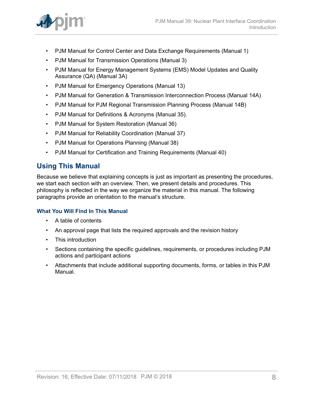

- PJM Manual for Control Center and Data Exchange Requirements (Manual 1)
- PJM Manual for Transmission Operations (Manual 3)
- PJM Manual for Energy Management Systems (EMS) Model Updates and Quality Assurance (QA) (Manual 3A)
- PJM Manual for Emergency Operations (Manual 13)
- PJM Manual for Generation & Transmission Interconnection Process (Manual 14A)
- PJM Manual for PJM Regional Transmission Planning Process (Manual 14B)
- PJM Manual for Definitions & Acronyms (Manual 35).
- PJM Manual for System Restoration (Manual 36)
- PJM Manual for Reliability Coordination (Manual 37)
- PJM Manual for Operations Planning (Manual 38)
- PJM Manual for Certification and Training Requirements (Manual 40)

# <span id="page-7-0"></span>**Using This Manual**

Because we believe that explaining concepts is just as important as presenting the procedures, we start each section with an overview. Then, we present details and procedures. This philosophy is reflected in the way we organize the material in this manual. The following paragraphs provide an orientation to the manual's structure.

## **What You Will Find In This Manual**

- A table of contents
- An approval page that lists the required approvals and the revision history
- This introduction
- Sections containing the specific guidelines, requirements, or procedures including PJM actions and participant actions
- Attachments that include additional supporting documents, forms, or tables in this PJM Manual.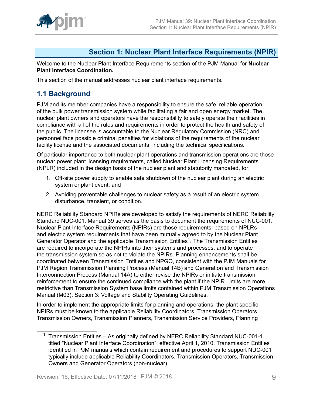

# <span id="page-8-0"></span>**Section 1: Nuclear Plant Interface Requirements (NPIR)**

Welcome to the Nuclear Plant Interface Requirements section of the PJM Manual for **Nuclear Plant Interface Coordination.**

This section of the manual addresses nuclear plant interface requirements.

# <span id="page-8-1"></span>**1.1 Background**

PJM and its member companies have a responsibility to ensure the safe, reliable operation of the bulk power transmission system while facilitating a fair and open energy market. The nuclear plant owners and operators have the responsibility to safely operate their facilities in compliance with all of the rules and requirements in order to protect the health and safety of the public. The licensee is accountable to the Nuclear Regulatory Commission (NRC) and personnel face possible criminal penalties for violations of the requirements of the nuclear facility license and the associated documents, including the technical specifications.

Of particular importance to both nuclear plant operations and transmission operations are those nuclear power plant licensing requirements, called Nuclear Plant Licensing Requirements (NPLR) included in the design basis of the nuclear plant and statutorily mandated, for:

- 1. Off-site power supply to enable safe shutdown of the nuclear plant during an electric system or plant event; and
- 2. Avoiding preventable challenges to nuclear safety as a result of an electric system disturbance, transient, or condition.

NERC Reliability Standard NPIRs are developed to satisfy the requirements of NERC Reliability Standard NUC-001. Manual 39 serves as the basis to document the requirements of NUC-001. Nuclear Plant Interface Requirements (NPIRs) are those requirements, based on NPLRs and electric system requirements that have been mutually agreed to by the Nuclear Plant Generator Operator and the applicable Transmission Entities<sup>1</sup>. The Transmission Entities are required to incorporate the NPIRs into their systems and processes, and to operate the transmission system so as not to violate the NPIRs. Planning enhancements shall be coordinated between Transmission Entities and NPGO, consistent with the PJM Manuals for PJM Region Transmission Planning Process (Manual 14B) and Generation and Transmission Interconnection Process (Manual 14A) to either revise the NPIRs or initiate transmission reinforcement to ensure the continued compliance with the plant if the NPIR Limits are more restrictive than Transmission System base limits contained within PJM Transmission Operations Manual (M03), Section 3: Voltage and Stability Operating Guidelines.

In order to implement the appropriate limits for planning and operations, the plant specific NPIRs must be known to the applicable Reliability Coordinators, Transmission Operators, Transmission Owners, Transmission Planners, Transmission Service Providers, Planning

<sup>&</sup>lt;sup>1</sup> Transmission Entities – As originally defined by NERC Reliability Standard NUC-001-1 titled "Nuclear Plant Interface Coordination", effective April 1, 2010. Transmission Entities identified in PJM manuals which contain requirement and procedures to support NUC-001 typically include applicable Reliability Coordinators, Transmission Operators, Transmission Owners and Generator Operators (non-nuclear).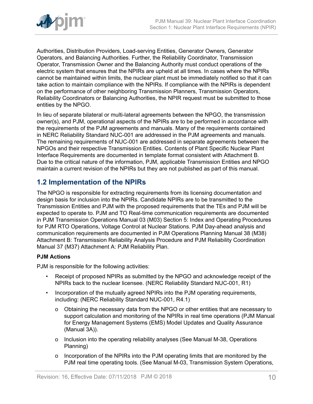

Authorities, Distribution Providers, Load-serving Entities, Generator Owners, Generator Operators, and Balancing Authorities. Further, the Reliability Coordinator, Transmission Operator, Transmission Owner and the Balancing Authority must conduct operations of the electric system that ensures that the NPIRs are upheld at all times. In cases where the NPIRs cannot be maintained within limits, the nuclear plant must be immediately notified so that it can take action to maintain compliance with the NPIRs. If compliance with the NPIRs is dependent on the performance of other neighboring Transmission Planners, Transmission Operators, Reliability Coordinators or Balancing Authorities, the NPIR request must be submitted to those entities by the NPGO.

In lieu of separate bilateral or multi-lateral agreements between the NPGO, the transmission owner(s), and PJM, operational aspects of the NPIRs are to be performed in accordance with the requirements of the PJM agreements and manuals. Many of the requirements contained in NERC Reliability Standard NUC-001 are addressed in the PJM agreements and manuals. The remaining requirements of NUC-001 are addressed in separate agreements between the NPGOs and their respective Transmission Entities. Contents of Plant Specific Nuclear Plant Interface Requirements are documented in template format consistent with Attachment B. Due to the critical nature of the information, PJM, applicable Transmission Entities and NPGO maintain a current revision of the NPIRs but they are not published as part of this manual.

# <span id="page-9-0"></span>**1.2 Implementation of the NPIRs**

The NPGO is responsible for extracting requirements from its licensing documentation and design basis for inclusion into the NPIRs. Candidate NPIRs are to be transmitted to the Transmission Entities and PJM with the proposed requirements that the TEs and PJM will be expected to operate to. PJM and TO Real-time communication requirements are documented in PJM Transmission Operations Manual 03 (M03) Section 5: Index and Operating Procedures for PJM RTO Operations, Voltage Control at Nuclear Stations. PJM Day-ahead analysis and communication requirements are documented in PJM Operations Planning Manual 38 (M38) Attachment B: Transmission Reliability Analysis Procedure and PJM Reliability Coordination Manual 37 (M37) Attachment A: PJM Reliability Plan.

# **PJM Actions**

PJM is responsible for the following activities:

- Receipt of proposed NPIRs as submitted by the NPGO and acknowledge receipt of the NPIRs back to the nuclear licensee. (NERC Reliability Standard NUC-001, R1)
- Incorporation of the mutually agreed NPIRs into the PJM operating requirements, including: (NERC Reliability Standard NUC-001, R4.1)
	- o Obtaining the necessary data from the NPGO or other entities that are necessary to support calculation and monitoring of the NPIRs in real time operations (PJM Manual for Energy Management Systems (EMS) Model Updates and Quality Assurance (Manual 3A)).
	- o Inclusion into the operating reliability analyses (See Manual M-38, Operations Planning)
	- o Incorporation of the NPIRs into the PJM operating limits that are monitored by the PJM real time operating tools. (See Manual M-03, Transmission System Operations,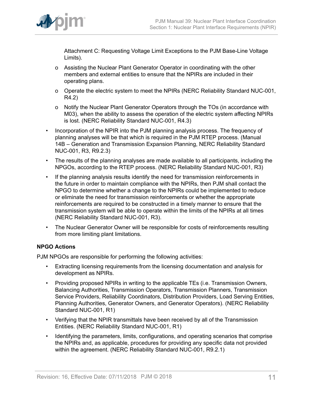

Attachment C: Requesting Voltage Limit Exceptions to the PJM Base-Line Voltage Limits).

- o Assisting the Nuclear Plant Generator Operator in coordinating with the other members and external entities to ensure that the NPIRs are included in their operating plans.
- o Operate the electric system to meet the NPIRs (NERC Reliability Standard NUC-001, R4.2)
- o Notify the Nuclear Plant Generator Operators through the TOs (in accordance with M03), when the ability to assess the operation of the electric system affecting NPIRs is lost. (NERC Reliability Standard NUC-001, R4.3)
- Incorporation of the NPIR into the PJM planning analysis process. The frequency of planning analyses will be that which is required in the PJM RTEP process. (Manual 14B – Generation and Transmission Expansion Planning, NERC Reliability Standard NUC-001, R3, R9.2.3)
- The results of the planning analyses are made available to all participants, including the NPGOs, according to the RTEP process. (NERC Reliability Standard NUC-001, R3)
- If the planning analysis results identify the need for transmission reinforcements in the future in order to maintain compliance with the NPIRs, then PJM shall contact the NPGO to determine whether a change to the NPIRs could be implemented to reduce or eliminate the need for transmission reinforcements or whether the appropriate reinforcements are required to be constructed in a timely manner to ensure that the transmission system will be able to operate within the limits of the NPIRs at all times (NERC Reliability Standard NUC-001, R3).
- The Nuclear Generator Owner will be responsible for costs of reinforcements resulting from more limiting plant limitations.

# **NPGO Actions**

PJM NPGOs are responsible for performing the following activities:

- Extracting licensing requirements from the licensing documentation and analysis for development as NPIRs.
- Providing proposed NPIRs in writing to the applicable TEs (i.e. Transmission Owners, Balancing Authorities, Transmission Operators, Transmission Planners, Transmission Service Providers, Reliability Coordinators, Distribution Providers, Load Serving Entities, Planning Authorities, Generator Owners, and Generator Operators). (NERC Reliability Standard NUC-001, R1)
- Verifying that the NPIR transmittals have been received by all of the Transmission Entities. (NERC Reliability Standard NUC-001, R1)
- Identifying the parameters, limits, configurations, and operating scenarios that comprise the NPIRs and, as applicable, procedures for providing any specific data not provided within the agreement. (NERC Reliability Standard NUC-001, R9.2.1)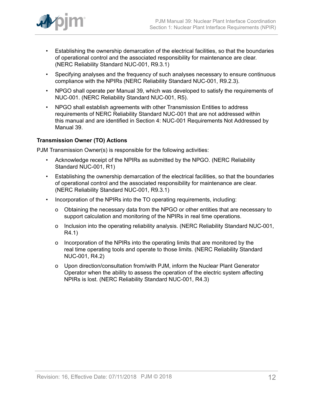

- Establishing the ownership demarcation of the electrical facilities, so that the boundaries of operational control and the associated responsibility for maintenance are clear. (NERC Reliability Standard NUC-001, R9.3.1)
- Specifying analyses and the frequency of such analyses necessary to ensure continuous compliance with the NPIRs (NERC Reliability Standard NUC-001, R9.2.3).
- NPGO shall operate per Manual 39, which was developed to satisfy the requirements of NUC-001. (NERC Reliability Standard NUC-001, R5).
- NPGO shall establish agreements with other Transmission Entities to address requirements of NERC Reliability Standard NUC-001 that are not addressed within this manual and are identified in Section 4: NUC-001 Requirements Not Addressed by Manual 39.

# **Transmission Owner (TO) Actions**

PJM Transmission Owner(s) is responsible for the following activities:

- Acknowledge receipt of the NPIRs as submitted by the NPGO. (NERC Reliability Standard NUC-001, R1)
- Establishing the ownership demarcation of the electrical facilities, so that the boundaries of operational control and the associated responsibility for maintenance are clear. (NERC Reliability Standard NUC-001, R9.3.1)
- Incorporation of the NPIRs into the TO operating requirements, including:
	- o Obtaining the necessary data from the NPGO or other entities that are necessary to support calculation and monitoring of the NPIRs in real time operations.
	- o Inclusion into the operating reliability analysis. (NERC Reliability Standard NUC-001, R4.1)
	- o Incorporation of the NPIRs into the operating limits that are monitored by the real time operating tools and operate to those limits. (NERC Reliability Standard NUC-001, R4.2)
	- o Upon direction/consultation from/with PJM, inform the Nuclear Plant Generator Operator when the ability to assess the operation of the electric system affecting NPIRs is lost. (NERC Reliability Standard NUC-001, R4.3)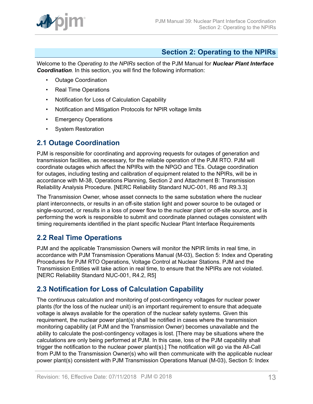

# <span id="page-12-0"></span>**Section 2: Operating to the NPIRs**

Welcome to the *Operating to the NPIRs* section of the PJM Manual for *Nuclear Plant Interface Coordination*. In this section, you will find the following information:

- Outage Coordination
- Real Time Operations
- Notification for Loss of Calculation Capability
- Notification and Mitigation Protocols for NPIR voltage limits
- Emergency Operations
- System Restoration

# <span id="page-12-1"></span>**2.1 Outage Coordination**

PJM is responsible for coordinating and approving requests for outages of generation and transmission facilities, as necessary, for the reliable operation of the PJM RTO. PJM will coordinate outages which affect the NPIRs with the NPGO and TEs. Outage coordination for outages, including testing and calibration of equipment related to the NPIRs, will be in accordance with M-38, Operations Planning, Section 2 and Attachment B: Transmission Reliability Analysis Procedure. [NERC Reliability Standard NUC-001, R6 and R9.3.3]

The Transmission Owner, whose asset connects to the same substation where the nuclear plant interconnects, or results in an off-site station light and power source to be outaged or single-sourced, or results in a loss of power flow to the nuclear plant or off-site source, and is performing the work is responsible to submit and coordinate planned outages consistent with timing requirements identified in the plant specific Nuclear Plant Interface Requirements

# <span id="page-12-2"></span>**2.2 Real Time Operations**

PJM and the applicable Transmission Owners will monitor the NPIR limits in real time, in accordance with PJM Transmission Operations Manual (M-03), Section 5: Index and Operating Procedures for PJM RTO Operations, Voltage Control at Nuclear Stations. PJM and the Transmission Entities will take action in real time, to ensure that the NPIRs are not violated. [NERC Reliability Standard NUC-001, R4.2, R5]

# <span id="page-12-3"></span>**2.3 Notification for Loss of Calculation Capability**

The continuous calculation and monitoring of post-contingency voltages for nuclear power plants (for the loss of the nuclear unit) is an important requirement to ensure that adequate voltage is always available for the operation of the nuclear safety systems. Given this requirement, the nuclear power plant(s) shall be notified in cases where the transmission monitoring capability (at PJM and the Transmission Owner) becomes unavailable and the ability to calculate the post-contingency voltages is lost. [There may be situations where the calculations are only being performed at PJM. In this case, loss of the PJM capability shall trigger the notification to the nuclear power plant(s).] The notification will go via the All-Call from PJM to the Transmission Owner(s) who will then communicate with the applicable nuclear power plant(s) consistent with PJM Transmission Operations Manual (M-03), Section 5: Index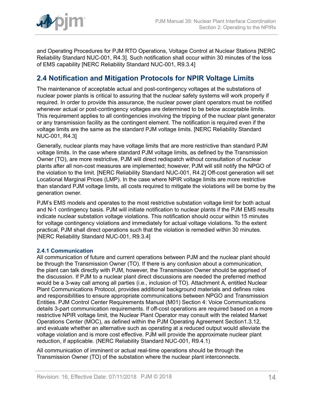

and Operating Procedures for PJM RTO Operations, Voltage Control at Nuclear Stations [NERC Reliability Standard NUC-001, R4.3]. Such notification shall occur within 30 minutes of the loss of EMS capability [NERC Reliability Standard NUC-001, R9.3.4]

# <span id="page-13-0"></span>**2.4 Notification and Mitigation Protocols for NPIR Voltage Limits**

The maintenance of acceptable actual and post-contingency voltages at the substations of nuclear power plants is critical to assuring that the nuclear safety systems will work properly if required. In order to provide this assurance, the nuclear power plant operators must be notified whenever actual or post-contingency voltages are determined to be below acceptable limits. This requirement applies to all contingencies involving the tripping of the nuclear plant generator or any transmission facility as the contingent element. The notification is required even if the voltage limits are the same as the standard PJM voltage limits. [NERC Reliability Standard NUC-001, R4.3]

Generally, nuclear plants may have voltage limits that are more restrictive than standard PJM voltage limits. In the case where standard PJM voltage limits, as defined by the Transmission Owner (TO), are more restrictive, PJM will direct redispatch without consultation of nuclear plants after all non-cost measures are implemented; however, PJM will still notify the NPGO of the violation to the limit. [NERC Reliability Standard NUC-001, R4.2] Off-cost generation will set Locational Marginal Prices (LMP). In the case where NPIR voltage limits are more restrictive than standard PJM voltage limits, all costs required to mitigate the violations will be borne by the generation owner.

PJM's EMS models and operates to the most restrictive substation voltage limit for both actual and N-1 contingency basis. PJM will initiate notification to nuclear plants if the PJM EMS results indicate nuclear substation voltage violations. This notification should occur within 15 minutes for voltage contingency violations and immediately for actual voltage violations. To the extent practical, PJM shall direct operations such that the violation is remedied within 30 minutes. [NERC Reliability Standard NUC-001, R9.3.4]

## <span id="page-13-1"></span>**2.4.1 Communication**

All communication of future and current operations between PJM and the nuclear plant should be through the Transmission Owner (TO). If there is any confusion about a communication, the plant can talk directly with PJM, however, the Transmission Owner should be apprised of the discussion. If PJM to a nuclear plant direct discussions are needed the preferred method would be a 3-way call among all parties (i.e., inclusion of TO). Attachment A, entitled Nuclear Plant Communications Protocol, provides additional background materials and defines roles and responsibilities to ensure appropriate communications between NPGO and Transmission Entities. PJM Control Center Requirements Manual (M01) Section 4: Voice Communications details 3-part communication requirements. If off-cost operations are required based on a more restrictive NPIR voltage limit, the Nuclear Plant Operator may consult with the related Market Operations Center (MOC), as defined within the PJM Operating Agreement Section1.3.12, and evaluate whether an alternative such as operating at a reduced output would alleviate the voltage violation and is more cost effective. PJM will provide the approximate nuclear plant reduction, if applicable. (NERC Reliability Standard NUC-001, R9.4.1)

All communication of imminent or actual real-time operations should be through the Transmission Owner (TO) of the substation where the nuclear plant interconnects.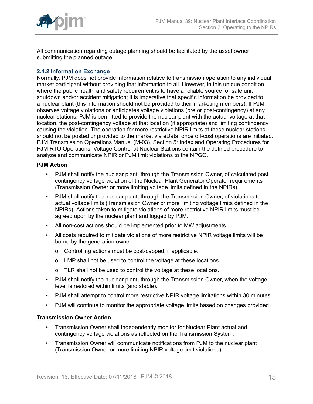

All communication regarding outage planning should be facilitated by the asset owner submitting the planned outage.

# <span id="page-14-0"></span>**2.4.2 Information Exchange**

Normally, PJM does not provide information relative to transmission operation to any individual market participant without providing that information to all. However, in this unique condition where the public health and safety requirement is to have a reliable source for safe unit shutdown and/or accident mitigation; it is imperative that specific information be provided to a nuclear plant (this information should not be provided to their marketing members). If PJM observes voltage violations or anticipates voltage violations (pre or post-contingency) at any nuclear stations, PJM is permitted to provide the nuclear plant with the actual voltage at that location, the post-contingency voltage at that location (if appropriate) and limiting contingency causing the violation. The operation for more restrictive NPIR limits at these nuclear stations should not be posted or provided to the market via eData, once off-cost operations are initiated. PJM Transmission Operations Manual (M-03), Section 5: Index and Operating Procedures for PJM RTO Operations, Voltage Control at Nuclear Stations contain the defined procedure to analyze and communicate NPIR or PJM limit violations to the NPGO.

#### **PJM Action**

- PJM shall notify the nuclear plant, through the Transmission Owner, of calculated post contingency voltage violation of the Nuclear Plant Generator Operator requirements (Transmission Owner or more limiting voltage limits defined in the NPIRs).
- PJM shall notify the nuclear plant, through the Transmission Owner, of violations to actual voltage limits (Transmission Owner or more limiting voltage limits defined in the NPIRs). Actions taken to mitigate violations of more restrictive NPIR limits must be agreed upon by the nuclear plant and logged by PJM.
- All non-cost actions should be implemented prior to MW adjustments.
- All costs required to mitigate violations of more restrictive NPIR voltage limits will be borne by the generation owner.
	- o Controlling actions must be cost-capped, if applicable.
	- o LMP shall not be used to control the voltage at these locations.
	- o TLR shall not be used to control the voltage at these locations.
- PJM shall notify the nuclear plant, through the Transmission Owner, when the voltage level is restored within limits (and stable).
- PJM shall attempt to control more restrictive NPIR voltage limitations within 30 minutes.
- PJM will continue to monitor the appropriate voltage limits based on changes provided.

#### **Transmission Owner Action**

- Transmission Owner shall independently monitor for Nuclear Plant actual and contingency voltage violations as reflected on the Transmission System.
- Transmission Owner will communicate notifications from PJM to the nuclear plant (Transmission Owner or more limiting NPIR voltage limit violations).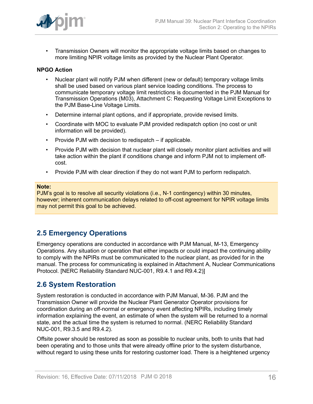

• Transmission Owners will monitor the appropriate voltage limits based on changes to more limiting NPIR voltage limits as provided by the Nuclear Plant Operator.

## **NPGO Action**

- Nuclear plant will notify PJM when different (new or default) temporary voltage limits shall be used based on various plant service loading conditions. The process to communicate temporary voltage limit restrictions is documented in the PJM Manual for Transmission Operations (M03), Attachment C: Requesting Voltage Limit Exceptions to the PJM Base-Line Voltage Limits.
- Determine internal plant options, and if appropriate, provide revised limits.
- Coordinate with MOC to evaluate PJM provided redispatch option (no cost or unit information will be provided).
- Provide PJM with decision to redispatch if applicable.
- Provide PJM with decision that nuclear plant will closely monitor plant activities and will take action within the plant if conditions change and inform PJM not to implement offcost.
- Provide PJM with clear direction if they do not want PJM to perform redispatch.

#### **Note:**

PJM's goal is to resolve all security violations (i.e., N-1 contingency) within 30 minutes, however; inherent communication delays related to off-cost agreement for NPIR voltage limits may not permit this goal to be achieved.

# <span id="page-15-0"></span>**2.5 Emergency Operations**

Emergency operations are conducted in accordance with PJM Manual, M-13, Emergency Operations. Any situation or operation that either impacts or could impact the continuing ability to comply with the NPIRs must be communicated to the nuclear plant, as provided for in the manual. The process for communicating is explained in Attachment A, Nuclear Communications Protocol. [NERC Reliability Standard NUC-001, R9.4.1 and R9.4.2)]

# <span id="page-15-1"></span>**2.6 System Restoration**

System restoration is conducted in accordance with PJM Manual, M-36. PJM and the Transmission Owner will provide the Nuclear Plant Generator Operator provisions for coordination during an off-normal or emergency event affecting NPIRs, including timely information explaining the event, an estimate of when the system will be returned to a normal state, and the actual time the system is returned to normal. (NERC Reliability Standard NUC-001, R9.3.5 and R9.4.2).

Offsite power should be restored as soon as possible to nuclear units, both to units that had been operating and to those units that were already offline prior to the system disturbance, without regard to using these units for restoring customer load. There is a heightened urgency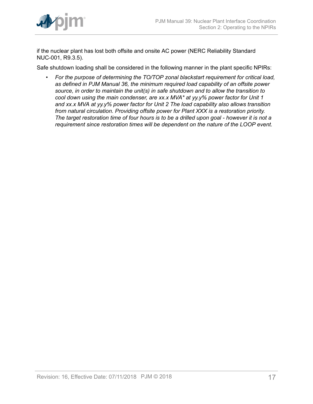

if the nuclear plant has lost both offsite and onsite AC power (NERC Reliability Standard NUC-001, R9.3.5).

Safe shutdown loading shall be considered in the following manner in the plant specific NPIRs:

• *For the purpose of determining the TO/TOP zonal blackstart requirement for critical load, as defined in PJM Manual 36, the minimum required load capability of an offsite power source, in order to maintain the unit(s) in safe shutdown and to allow the transition to cool down using the main condenser, are xx.x MVA\* at yy.y% power factor for Unit 1 and xx.x MVA at yy.y% power factor for Unit 2 The load capability also allows transition from natural circulation. Providing offsite power for Plant XXX is a restoration priority. The target restoration time of four hours is to be a drilled upon goal - however it is not a requirement since restoration times will be dependent on the nature of the LOOP event.*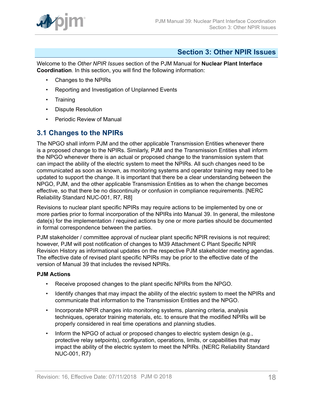

# <span id="page-17-0"></span>**Section 3: Other NPIR Issues**

Welcome to the *Other NPIR Issues* section of the PJM Manual for **Nuclear Plant Interface Coordination**. In this section, you will find the following information:

- Changes to the NPIRs
- Reporting and Investigation of Unplanned Events
- Training
- Dispute Resolution
- Periodic Review of Manual

# <span id="page-17-1"></span>**3.1 Changes to the NPIRs**

The NPGO shall inform PJM and the other applicable Transmission Entities whenever there is a proposed change to the NPIRs. Similarly, PJM and the Transmission Entities shall inform the NPGO whenever there is an actual or proposed change to the transmission system that can impact the ability of the electric system to meet the NPIRs. All such changes need to be communicated as soon as known, as monitoring systems and operator training may need to be updated to support the change. It is important that there be a clear understanding between the NPGO, PJM, and the other applicable Transmission Entities as to when the change becomes effective, so that there be no discontinuity or confusion in compliance requirements. [NERC Reliability Standard NUC-001, R7, R8]

Revisions to nuclear plant specific NPIRs may require actions to be implemented by one or more parties prior to formal incorporation of the NPIRs into Manual 39. In general, the milestone date(s) for the implementation / required actions by one or more parties should be documented in formal correspondence between the parties.

PJM stakeholder / committee approval of nuclear plant specific NPIR revisions is not required; however, PJM will post notification of changes to M39 Attachment C Plant Specific NPIR Revision History as informational updates on the respective PJM stakeholder meeting agendas. The effective date of revised plant specific NPIRs may be prior to the effective date of the version of Manual 39 that includes the revised NPIRs.

## **PJM Actions**

- Receive proposed changes to the plant specific NPIRs from the NPGO.
- Identify changes that may impact the ability of the electric system to meet the NPIRs and communicate that information to the Transmission Entities and the NPGO.
- Incorporate NPIR changes into monitoring systems, planning criteria, analysis techniques, operator training materials, etc. to ensure that the modified NPIRs will be properly considered in real time operations and planning studies.
- Inform the NPGO of actual or proposed changes to electric system design (e.g., protective relay setpoints), configuration, operations, limits, or capabilities that may impact the ability of the electric system to meet the NPIRs. (NERC Reliability Standard NUC-001, R7)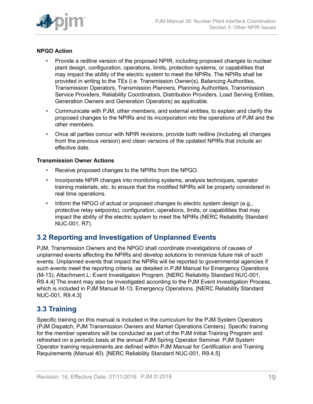

# **NPGO Action**

- Provide a redline version of the proposed NPIR, including proposed changes to nuclear plant design, configuration, operations, limits, protection systems, or capabilities that may impact the ability of the electric system to meet the NPIRs. The NPIRs shall be provided in writing to the TEs (i.e. Transmission Owner(s), Balancing Authorities, Transmission Operators, Transmission Planners, Planning Authorities, Transmission Service Providers, Reliability Coordinators, Distribution Providers, Load Serving Entities, Generation Owners and Generation Operators) as applicable.
- Communicate with PJM, other members, and external entities, to explain and clarify the proposed changes to the NPIRs and its incorporation into the operations of PJM and the other members.
- Once all parties concur with NPIR revisions, provide both redline (including all changes from the previous version) and clean versions of the updated NPIRs that include an effective date.

## **Transmission Owner Actions**

- Receive proposed changes to the NPIRs from the NPGO.
- Incorporate NPIR changes into monitoring systems, analysis techniques, operator training materials, etc. to ensure that the modified NPIRs will be properly considered in real time operations.
- Inform the NPGO of actual or proposed changes to electric system design (e.g., protective relay setpoints), configuration, operations, limits, or capabilities that may impact the ability of the electric system to meet the NPIRs (NERC Reliability Standard NUC-001, R7).

# <span id="page-18-0"></span>**3.2 Reporting and Investigation of Unplanned Events**

PJM, Transmission Owners and the NPGO shall coordinate investigations of causes of unplanned events affecting the NPIRs and develop solutions to minimize future risk of such events. Unplanned events that impact the NPIRs will be reported to governmental agencies if such events meet the reporting criteria, as detailed in PJM Manual for Emergency Operations (M-13), Attachment L: Event Investigation Program. [NERC Reliability Standard NUC-001, R9.4.4] The event may also be investigated according to the PJM Event Investigation Process, which is included in PJM Manual M-13, Emergency Operations. [NERC Reliability Standard NUC-001, R9.4.3]

# <span id="page-18-1"></span>**3.3 Training**

Specific training on this manual is included in the curriculum for the PJM System Operators (PJM Dispatch, PJM Transmission Owners and Market Operations Centers). Specific training for the member operators will be conducted as part of the PJM Initial Training Program and refreshed on a periodic basis at the annual PJM Spring Operator Seminar. PJM System Operator training requirements are defined within PJM Manual for Certification and Training Requirements (Manual 40). [NERC Reliability Standard NUC-001, R9.4.5]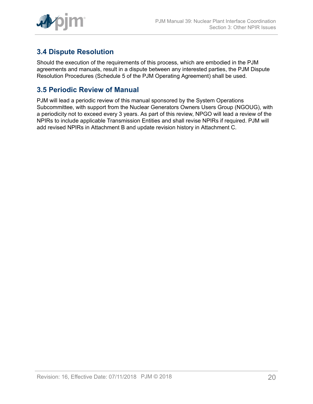

# <span id="page-19-0"></span>**3.4 Dispute Resolution**

Should the execution of the requirements of this process, which are embodied in the PJM agreements and manuals, result in a dispute between any interested parties, the PJM Dispute Resolution Procedures (Schedule 5 of the PJM Operating Agreement) shall be used.

# <span id="page-19-1"></span>**3.5 Periodic Review of Manual**

PJM will lead a periodic review of this manual sponsored by the System Operations Subcommittee, with support from the Nuclear Generators Owners Users Group (NGOUG), with a periodicity not to exceed every 3 years. As part of this review, NPGO will lead a review of the NPIRs to include applicable Transmission Entities and shall revise NPIRs if required. PJM will add revised NPIRs in Attachment B and update revision history in Attachment C.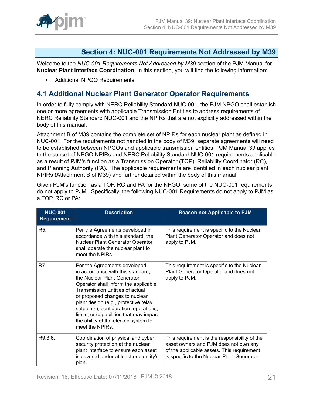

# <span id="page-20-0"></span>**Section 4: NUC-001 Requirements Not Addressed by M39**

Welcome to the *NUC-001 Requirements Not Addressed by M39* section of the PJM Manual for **Nuclear Plant Interface Coordination**. In this section, you will find the following information:

• Additional NPGO Requirements

# <span id="page-20-1"></span>**4.1 Additional Nuclear Plant Generator Operator Requirements**

In order to fully comply with NERC Reliability Standard NUC-001, the PJM NPGO shall establish one or more agreements with applicable Transmission Entities to address requirements of NERC Reliability Standard NUC-001 and the NPIRs that are not explicitly addressed within the body of this manual.

Attachment B of M39 contains the complete set of NPIRs for each nuclear plant as defined in NUC-001. For the requirements not handled in the body of M39, separate agreements will need to be established between NPGOs and applicable transmission entities. PJM Manual 39 applies to the subset of NPGO NPIRs and NERC Reliability Standard NUC-001 requirements applicable as a result of PJM's function as a Transmission Operator (TOP), Reliability Coordinator (RC), and Planning Authority (PA). The applicable requirements are identified in each nuclear plant NPIRs (Attachment B of M39) and further detailed within the body of this manual.

Given PJM's function as a TOP, RC and PA for the NPGO, some of the NUC-001 requirements do not apply to PJM. Specifically, the following NUC-001 Requirements do not apply to PJM as a TOP, RC or PA:

| <b>NUC-001</b><br><b>Requirement</b> | <b>Description</b>                                                                                                                                                                                                                                                                                                                                                                                            | <b>Reason not Applicable to PJM</b>                                                                                                                                                |
|--------------------------------------|---------------------------------------------------------------------------------------------------------------------------------------------------------------------------------------------------------------------------------------------------------------------------------------------------------------------------------------------------------------------------------------------------------------|------------------------------------------------------------------------------------------------------------------------------------------------------------------------------------|
| R5.                                  | Per the Agreements developed in<br>accordance with this standard, the<br>Nuclear Plant Generator Operator<br>shall operate the nuclear plant to<br>meet the NPIRs.                                                                                                                                                                                                                                            | This requirement is specific to the Nuclear<br>Plant Generator Operator and does not<br>apply to PJM.                                                                              |
| R7.                                  | Per the Agreements developed<br>in accordance with this standard,<br>the Nuclear Plant Generator<br>Operator shall inform the applicable<br><b>Transmission Entities of actual</b><br>or proposed changes to nuclear<br>plant design (e.g., protective relay<br>setpoints), configuration, operations,<br>limits, or capabilities that may impact<br>the ability of the electric system to<br>meet the NPIRs. | This requirement is specific to the Nuclear<br>Plant Generator Operator and does not<br>apply to PJM.                                                                              |
| R9.3.6.                              | Coordination of physical and cyber<br>security protection at the nuclear<br>plant interface to ensure each asset<br>is covered under at least one entity's<br>plan.                                                                                                                                                                                                                                           | This requirement is the responsibility of the<br>asset owners and PJM does not own any<br>of the applicable assets. This requirement<br>is specific to the Nuclear Plant Generator |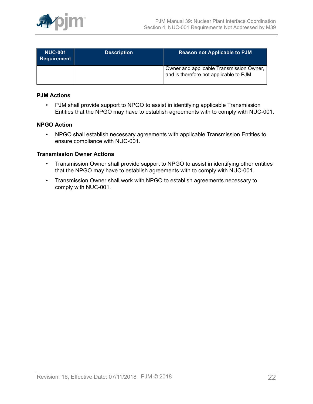

| <b>NUC-001</b><br>Requirement | <b>Description</b> | <b>Reason not Applicable to PJM</b>                                                 |
|-------------------------------|--------------------|-------------------------------------------------------------------------------------|
|                               |                    | Owner and applicable Transmission Owner,<br>and is therefore not applicable to PJM. |

### **PJM Actions**

• PJM shall provide support to NPGO to assist in identifying applicable Transmission Entities that the NPGO may have to establish agreements with to comply with NUC-001.

### **NPGO Action**

• NPGO shall establish necessary agreements with applicable Transmission Entities to ensure compliance with NUC-001.

#### **Transmission Owner Actions**

- Transmission Owner shall provide support to NPGO to assist in identifying other entities that the NPGO may have to establish agreements with to comply with NUC-001.
- Transmission Owner shall work with NPGO to establish agreements necessary to comply with NUC-001.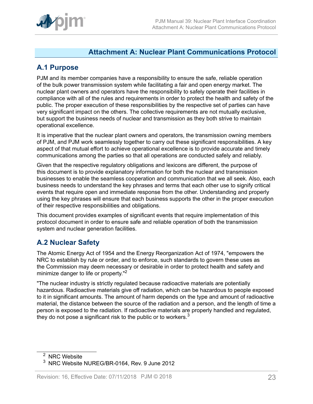

# <span id="page-22-0"></span>**Attachment A: Nuclear Plant Communications Protocol**

# <span id="page-22-1"></span>**A.1 Purpose**

PJM and its member companies have a responsibility to ensure the safe, reliable operation of the bulk power transmission system while facilitating a fair and open energy market. The nuclear plant owners and operators have the responsibility to safely operate their facilities in compliance with all of the rules and requirements in order to protect the health and safety of the public. The proper execution of these responsibilities by the respective set of parties can have very significant impact on the others. The collective requirements are not mutually exclusive, but support the business needs of nuclear and transmission as they both strive to maintain operational excellence.

It is imperative that the nuclear plant owners and operators, the transmission owning members of PJM, and PJM work seamlessly together to carry out these significant responsibilities. A key aspect of that mutual effort to achieve operational excellence is to provide accurate and timely communications among the parties so that all operations are conducted safely and reliably.

Given that the respective regulatory obligations and lexicons are different, the purpose of this document is to provide explanatory information for both the nuclear and transmission businesses to enable the seamless cooperation and communication that we all seek. Also, each business needs to understand the key phrases and terms that each other use to signify critical events that require open and immediate response from the other. Understanding and properly using the key phrases will ensure that each business supports the other in the proper execution of their respective responsibilities and obligations.

This document provides examples of significant events that require implementation of this protocol document in order to ensure safe and reliable operation of both the transmission system and nuclear generation facilities.

# <span id="page-22-2"></span>**A.2 Nuclear Safety**

The Atomic Energy Act of 1954 and the Energy Reorganization Act of 1974, "empowers the NRC to establish by rule or order, and to enforce, such standards to govern these uses as the Commission may deem necessary or desirable in order to protect health and safety and minimize danger to life or property."<sup>2</sup>

"The nuclear industry is strictly regulated because radioactive materials are potentially hazardous. Radioactive materials give off radiation, which can be hazardous to people exposed to it in significant amounts. The amount of harm depends on the type and amount of radioactive material, the distance between the source of the radiation and a person, and the length of time a person is exposed to the radiation. If radioactive materials are properly handled and regulated, they do not pose a significant risk to the public or to workers. $3$ 

<sup>&</sup>lt;sup>2</sup> NRC Website

<sup>3</sup> NRC Website NUREG/BR-0164, Rev. 9 June 2012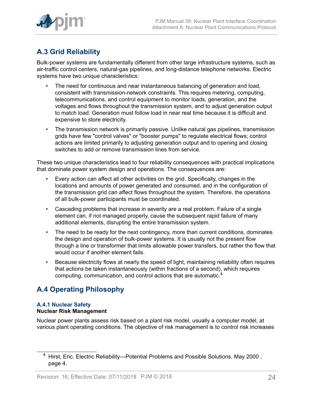

# <span id="page-23-0"></span>**A.3 Grid Reliability**

Bulk-power systems are fundamentally different from other large infrastructure systems, such as air-traffic control centers, natural-gas pipelines, and long-distance telephone networks. Electric systems have two unique characteristics:

- The need for continuous and near instantaneous balancing of generation and load, consistent with transmission-network constraints. This requires metering, computing, telecommunications, and control equipment to monitor loads, generation, and the voltages and flows throughout the transmission system, and to adjust generation output to match load. Generation must follow load in near real time because it is difficult and expensive to store electricity.
- The transmission network is primarily passive. Unlike natural gas pipelines, transmission grids have few "control valves" or "booster pumps" to regulate electrical flows; control actions are limited primarily to adjusting generation output and to opening and closing switches to add or remove transmission lines from service.

These two unique characteristics lead to four reliability consequences with practical implications that dominate power system design and operations. The consequences are:

- Every action can affect all other activities on the grid. Specifically, changes in the locations and amounts of power generated and consumed, and in the configuration of the transmission grid can affect flows throughout the system. Therefore, the operations of all bulk-power participants must be coordinated.
- Cascading problems that increase in severity are a real problem. Failure of a single element can, if not managed properly, cause the subsequent rapid failure of many additional elements, disrupting the entire transmission system.
- The need to be ready for the next contingency, more than current conditions, dominates the design and operation of bulk-power systems. It is usually not the present flow through a line or transformer that limits allowable power transfers, but rather the flow that would occur if another element fails.
- Because electricity flows at nearly the speed of light, maintaining reliability often requires that actions be taken instantaneously (within fractions of a second), which requires computing, communication, and control actions that are automatic.<sup>4</sup>

# <span id="page-23-1"></span>**A.4 Operating Philosophy**

## **A.4.1 Nuclear Safety Nuclear Risk Management**

Nuclear power plants assess risk based on a plant risk model, usually a computer model, at various plant operating conditions. The objective of risk management is to control risk increases

<sup>&</sup>lt;sup>4</sup> Hirst, Eric. Electric Reliability—Potential Problems and Possible Solutions. May 2000, page 4.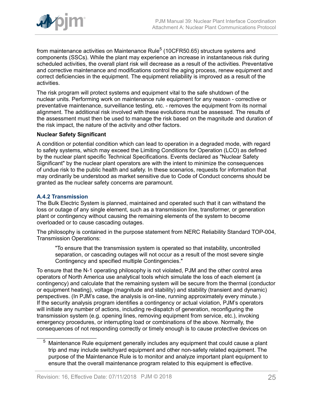

from maintenance activities on Maintenance Rule $^5$  (10CFR50.65) structure systems and components (SSCs). While the plant may experience an increase in instantaneous risk during scheduled activities, the overall plant risk will decrease as a result of the activities. Preventative and corrective maintenance and modifications control the aging process, renew equipment and correct deficiencies in the equipment. The equipment reliability is improved as a result of the activities.

The risk program will protect systems and equipment vital to the safe shutdown of the nuclear units. Performing work on maintenance rule equipment for any reason - corrective or preventative maintenance, surveillance testing, etc. - removes the equipment from its normal alignment. The additional risk involved with these evolutions must be assessed. The results of the assessment must then be used to manage the risk based on the magnitude and duration of the risk impact, the nature of the activity and other factors.

#### **Nuclear Safety Significant**

A condition or potential condition which can lead to operation in a degraded mode, with regard to safety systems, which may exceed the Limiting Conditions for Operation (LCO) as defined by the nuclear plant specific Technical Specifications. Events declared as "Nuclear Safety Significant" by the nuclear plant operators are with the intent to minimize the consequences of undue risk to the public health and safety. In these scenarios, requests for information that may ordinarily be understood as market sensitive due to Code of Conduct concerns should be granted as the nuclear safety concerns are paramount.

## **A.4.2 Transmission**

The Bulk Electric System is planned, maintained and operated such that it can withstand the loss or outage of any single element, such as a transmission line, transformer, or generation plant or contingency without causing the remaining elements of the system to become overloaded or to cause cascading outages.

The philosophy is contained in the purpose statement from NERC Reliability Standard TOP-004, Transmission Operations:

"To ensure that the transmission system is operated so that instability, uncontrolled separation, or cascading outages will not occur as a result of the most severe single Contingency and specified multiple Contingencies."

To ensure that the N-1 operating philosophy is not violated, PJM and the other control area operators of North America use analytical tools which simulate the loss of each element (a contingency) and calculate that the remaining system will be secure from the thermal (conductor or equipment heating), voltage (magnitude and stability) and stability (transient and dynamic) perspectives. (In PJM's case, the analysis is on-line, running approximately every minute.) If the security analysis program identifies a contingency or actual violation, PJM's operators will initiate any number of actions, including re-dispatch of generation, reconfiguring the transmission system (e.g. opening lines, removing equipment from service, etc.), invoking emergency procedures, or interrupting load or combinations of the above. Normally, the consequences of not responding correctly or timely enough is to cause protective devices on

 $5$  Maintenance Rule equipment generally includes any equipment that could cause a plant trip and may include switchyard equipment and other non-safety related equipment. The purpose of the Maintenance Rule is to monitor and analyze important plant equipment to ensure that the overall maintenance program related to this equipment is effective.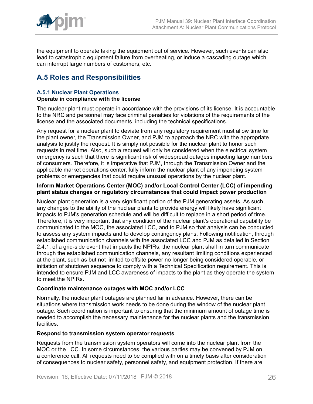

the equipment to operate taking the equipment out of service. However, such events can also lead to catastrophic equipment failure from overheating, or induce a cascading outage which can interrupt large numbers of customers, etc.

# <span id="page-25-0"></span>**A.5 Roles and Responsibilities**

#### **A.5.1 Nuclear Plant Operations Operate in compliance with the license**

The nuclear plant must operate in accordance with the provisions of its license. It is accountable to the NRC and personnel may face criminal penalties for violations of the requirements of the license and the associated documents, including the technical specifications.

Any request for a nuclear plant to deviate from any regulatory requirement must allow time for the plant owner, the Transmission Owner, and PJM to approach the NRC with the appropriate analysis to justify the request. It is simply not possible for the nuclear plant to honor such requests in real time. Also, such a request will only be considered when the electrical system emergency is such that there is significant risk of widespread outages impacting large numbers of consumers. Therefore, it is imperative that PJM, through the Transmission Owner and the applicable market operations center, fully inform the nuclear plant of any impending system problems or emergencies that could require unusual operations by the nuclear plant.

#### **Inform Market Operations Center (MOC) and/or Local Control Center (LCC) of impending plant status changes or regulatory circumstances that could impact power production**

Nuclear plant generation is a very significant portion of the PJM generating assets. As such, any changes to the ability of the nuclear plants to provide energy will likely have significant impacts to PJM's generation schedule and will be difficult to replace in a short period of time. Therefore, it is very important that any condition of the nuclear plant's operational capability be communicated to the MOC, the associated LCC, and to PJM so that analysis can be conducted to assess any system impacts and to develop contingency plans. Following notification, through established communication channels with the associated LCC and PJM as detailed in Section 2.4.1, of a grid-side event that impacts the NPIRs, the nuclear plant shall in turn communicate through the established communication channels, any resultant limiting conditions experienced at the plant, such as but not limited to offsite power no longer being considered operable, or initiation of shutdown sequence to comply with a Technical Specification requirement. This is intended to ensure PJM and LCC awareness of impacts to the plant as they operate the system to meet the NPIRs.

## **Coordinate maintenance outages with MOC and/or LCC**

Normally, the nuclear plant outages are planned far in advance. However, there can be situations where transmission work needs to be done during the window of the nuclear plant outage. Such coordination is important to ensuring that the minimum amount of outage time is needed to accomplish the necessary maintenance for the nuclear plants and the transmission facilities.

## **Respond to transmission system operator requests**

Requests from the transmission system operators will come into the nuclear plant from the MOC or the LCC. In some circumstances, the various parties may be convened by PJM on a conference call. All requests need to be complied with on a timely basis after consideration of consequences to nuclear safety, personnel safety, and equipment protection. If there are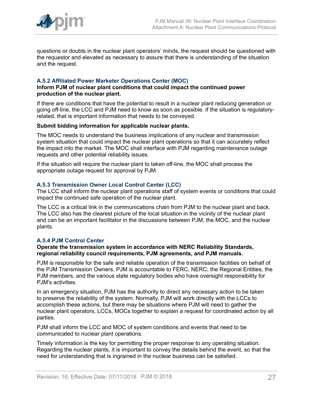

questions or doubts in the nuclear plant operators' minds, the request should be questioned with the requestor and elevated as necessary to assure that there is understanding of the situation and the request.

### **A.5.2 Affiliated Power Marketer Operations Center (MOC)**

#### **Inform PJM of nuclear plant conditions that could impact the continued power production of the nuclear plant.**

If there are conditions that have the potential to result in a nuclear plant reducing generation or going off-line, the LCC and PJM need to know as soon as possible. If the situation is regulatoryrelated, that is important information that needs to be conveyed.

#### **Submit bidding information for applicable nuclear plants.**

The MOC needs to understand the business implications of any nuclear and transmission system situation that could impact the nuclear plant operations so that it can accurately reflect the impact into the market. The MOC shall interface with PJM regarding maintenance outage requests and other potential reliability issues.

If the situation will require the nuclear plant to taken off-line, the MOC shall process the appropriate outage request for approval by PJM.

#### **A.5.3 Transmission Owner Local Control Center (LCC)**

The LCC shall inform the nuclear plant operations staff of system events or conditions that could impact the continued safe operation of the nuclear plant.

The LCC is a critical link in the communications chain from PJM to the nuclear plant and back. The LCC also has the clearest picture of the local situation in the vicinity of the nuclear plant and can be an important facilitator in the discussions between PJM, the MOC, and the nuclear plants.

#### **A.5.4 PJM Control Center**

#### **Operate the transmission system in accordance with NERC Reliability Standards, regional reliability council requirements, PJM agreements, and PJM manuals.**

PJM is responsible for the safe and reliable operation of the transmission facilities on behalf of the PJM Transmission Owners. PJM is accountable to FERC, NERC, the Regional Entities, the PJM members, and the various state regulatory bodies who have oversight responsibility for PJM's activities.

In an emergency situation, PJM has the authority to direct any necessary action to be taken to preserve the reliability of the system. Normally, PJM will work directly with the LCCs to accomplish these actions, but there may be situations where PJM will need to gather the nuclear plant operators, LCCs, MOCs together to explain a request for coordinated action by all parties.

PJM shall inform the LCC and MOC of system conditions and events that need to be communicated to nuclear plant operations.

Timely information is the key for permitting the proper response to any operating situation. Regarding the nuclear plants, it is important to convey the details behind the event, so that the need for understanding that is ingrained in the nuclear business can be satisfied.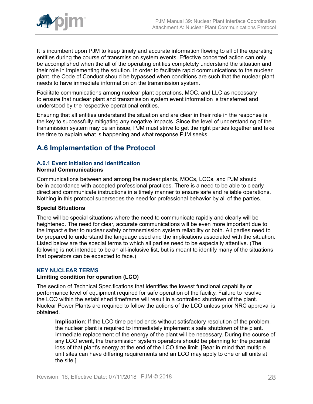

It is incumbent upon PJM to keep timely and accurate information flowing to all of the operating entities during the course of transmission system events. Effective concerted action can only be accomplished when the all of the operating entities completely understand the situation and their role in implementing the solution. In order to facilitate rapid communications to the nuclear plant, the Code of Conduct should be bypassed when conditions are such that the nuclear plant needs to have immediate information on the transmission system.

Facilitate communications among nuclear plant operations, MOC, and LLC as necessary to ensure that nuclear plant and transmission system event information is transferred and understood by the respective operational entities.

Ensuring that all entities understand the situation and are clear in their role in the response is the key to successfully mitigating any negative impacts. Since the level of understanding of the transmission system may be an issue, PJM must strive to get the right parties together and take the time to explain what is happening and what response PJM seeks.

# <span id="page-27-0"></span>**A.6 Implementation of the Protocol**

# **A.6.1 Event Initiation and Identification**

#### **Normal Communications**

Communications between and among the nuclear plants, MOCs, LCCs, and PJM should be in accordance with accepted professional practices. There is a need to be able to clearly direct and communicate instructions in a timely manner to ensure safe and reliable operations. Nothing in this protocol supersedes the need for professional behavior by all of the parties.

## **Special Situations**

There will be special situations where the need to communicate rapidly and clearly will be heightened. The need for clear, accurate communications will be even more important due to the impact either to nuclear safety or transmission system reliability or both. All parties need to be prepared to understand the language used and the implications associated with the situation. Listed below are the special terms to which all parties need to be especially attentive. (The following is not intended to be an all-inclusive list, but is meant to identify many of the situations that operators can be expected to face.)

## **KEY NUCLEAR TERMS**

## **Limiting condition for operation (LCO)**

The section of Technical Specifications that identifies the lowest functional capability or performance level of equipment required for safe operation of the facility. Failure to resolve the LCO within the established timeframe will result in a controlled shutdown of the plant. Nuclear Power Plants are required to follow the actions of the LCO unless prior NRC approval is obtained.

**Implication**: If the LCO time period ends without satisfactory resolution of the problem, the nuclear plant is required to immediately implement a safe shutdown of the plant. Immediate replacement of the energy of the plant will be necessary. During the course of any LCO event, the transmission system operators should be planning for the potential loss of that plant's energy at the end of the LCO time limit. [Bear in mind that multiple unit sites can have differing requirements and an LCO may apply to one or all units at the site.]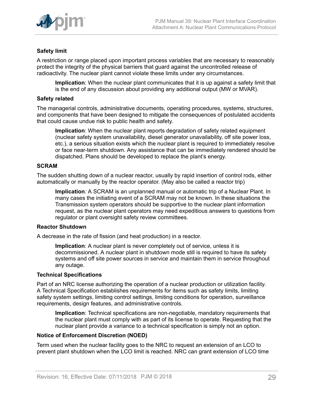

# **Safety limit**

A restriction or range placed upon important process variables that are necessary to reasonably protect the integrity of the physical barriers that guard against the uncontrolled release of radioactivity. The nuclear plant cannot violate these limits under any circumstances.

**Implication**: When the nuclear plant communicates that it is up against a safety limit that is the end of any discussion about providing any additional output (MW or MVAR).

#### **Safety related**

The managerial controls, administrative documents, operating procedures, systems, structures, and components that have been designed to mitigate the consequences of postulated accidents that could cause undue risk to public health and safety.

**Implication**: When the nuclear plant reports degradation of safety related equipment (nuclear safety system unavailability, diesel generator unavailability, off site power loss, etc.), a serious situation exists which the nuclear plant is required to immediately resolve or face near-term shutdown. Any assistance that can be immediately rendered should be dispatched. Plans should be developed to replace the plant's energy.

#### **SCRAM**

The sudden shutting down of a nuclear reactor, usually by rapid insertion of control rods, either automatically or manually by the reactor operator. (May also be called a reactor trip)

**Implication***:* A SCRAM is an unplanned manual or automatic trip of a Nuclear Plant. In many cases the initiating event of a SCRAM may not be known. In these situations the Transmission system operators should be supportive to the nuclear plant information request, as the nuclear plant operators may need expeditious answers to questions from regulator or plant oversight safety review committees.

#### **Reactor Shutdown**

A decrease in the rate of fission (and heat production) in a reactor.

**Implication**: A nuclear plant is never completely out of service, unless it is decommissioned. A nuclear plant in shutdown mode still is required to have its safety systems and off site power sources in service and maintain them in service throughout any outage.

#### **Technical Specifications**

Part of an NRC license authorizing the operation of a nuclear production or utilization facility. A Technical Specification establishes requirements for items such as safety limits, limiting safety system settings, limiting control settings, limiting conditions for operation, surveillance requirements, design features, and administrative controls.

**Implication**: Technical specifications are non-negotiable, mandatory requirements that the nuclear plant must comply with as part of its license to operate. Requesting that the nuclear plant provide a variance to a technical specification is simply not an option.

#### **Notice of Enforcement Discretion (NOED)**

Term used when the nuclear facility goes to the NRC to request an extension of an LCO to prevent plant shutdown when the LCO limit is reached. NRC can grant extension of LCO time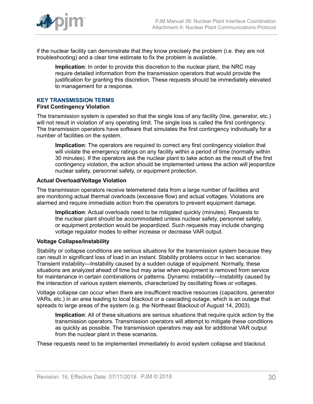

if the nuclear facility can demonstrate that they know precisely the problem (i.e. they are not troubleshooting) and a clear time estimate to fix the problem is available.

**Implication**: In order to provide this discretion to the nuclear plant, the NRC may require detailed information from the transmission operators that would provide the justification for granting this discretion. These requests should be immediately elevated to management for a response.

# **KEY TRANSMISSION TERMS**

#### **First Contingency Violation**

The transmission system is operated so that the single loss of any facility (line, generator, etc.) will not result in violation of any operating limit. The single loss is called the first contingency. The transmission operators have software that simulates the first contingency individually for a number of facilities on the system.

**Implication**: The operators are required to correct any first contingency violation that will violate the emergency ratings on any facility within a period of time (normally within 30 minutes). If the operators ask the nuclear plant to take action as the result of the first contingency violation, the action should be implemented unless the action will jeopardize nuclear safety, personnel safety, or equipment protection.

#### **Actual Overload/Voltage Violation**

The transmission operators receive telemetered data from a large number of facilities and are monitoring actual thermal overloads (excessive flow) and actual voltages. Violations are alarmed and require immediate action from the operators to prevent equipment damage.

**Implication**: Actual overloads need to be mitigated quickly (minutes). Requests to the nuclear plant should be accommodated unless nuclear safety, personnel safety, or equipment protection would be jeopardized. Such requests may include changing voltage regulator modes to either increase or decrease VAR output.

## **Voltage Collapse/Instability**

Stability or collapse conditions are serious situations for the transmission system because they can result in significant loss of load in an instant. Stability problems occur in two scenarios: Transient instability—Instability caused by a sudden outage of equipment. Normally, these situations are analyzed ahead of time but may arise when equipment is removed from service for maintenance in certain combinations or patterns. Dynamic instability—Instability caused by the interaction of various system elements, characterized by oscillating flows or voltages.

Voltage collapse can occur when there are insufficient reactive resources (capacitors, generator VARs, etc.) in an area leading to local blackout or a cascading outage, which is an outage that spreads to large areas of the system (e.g. the Northeast Blackout of August 14, 2003).

**Implication**: All of these situations are serious situations that require quick action by the transmission operators. Transmission operators will attempt to mitigate these conditions as quickly as possible. The transmission operators may ask for additional VAR output from the nuclear plant in these scenarios.

These requests need to be implemented immediately to avoid system collapse and blackout.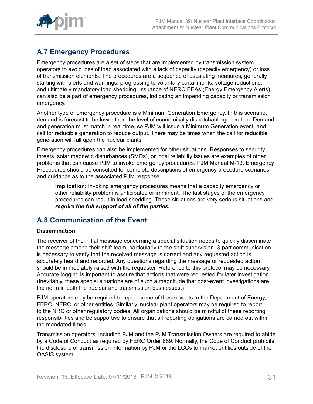

# <span id="page-30-0"></span>**A.7 Emergency Procedures**

Emergency procedures are a set of steps that are implemented by transmission system operators to avoid loss of load associated with a lack of capacity (capacity emergency) or loss of transmission elements. The procedures are a sequence of escalating measures, generally starting with alerts and warnings, progressing to voluntary curtailments, voltage reductions, and ultimately mandatory load shedding. Issuance of NERC EEAs (Energy Emergency Alerts) can also be a part of emergency procedures, indicating an impending capacity or transmission emergency.

Another type of emergency procedure is a Minimum Generation Emergency. In this scenario, demand is forecast to be lower than the level of economically dispatchable generation. Demand and generation must match in real time, so PJM will issue a Minimum Generation event, and call for reducible generation to reduce output. There may be times when the call for reducible generation will fall upon the nuclear plants.

Emergency procedures can also be implemented for other situations. Responses to security threats, solar magnetic disturbances (SMDs), or local reliability issues are examples of other problems that can cause PJM to invoke emergency procedures. PJM Manual M-13, Emergency Procedures should be consulted for complete descriptions of emergency procedure scenarios and guidance as to the associated PJM response.

**Implication**: Invoking emergency procedures means that a capacity emergency or other reliability problem is anticipated or imminent. The last stages of the emergency procedures can result in load shedding. These situations are very serious situations and *require the full support of all of the parties.*

# <span id="page-30-1"></span>**A.8 Communication of the Event**

# **Dissemination**

The receiver of the initial message concerning a special situation needs to quickly disseminate the message among their shift team, particularly to the shift supervision. 3-part communication is necessary to verify that the received message is correct and any requested action is accurately heard and recorded. Any questions regarding the message or requested action should be immediately raised with the requester. Reference to this protocol may be necessary. Accurate logging is important to assure that actions that were requested for later investigation. (Inevitably, these special situations are of such a magnitude that post-event investigations are the norm in both the nuclear and transmission businesses.)

PJM operators may be required to report some of these events to the Department of Energy, FERC, NERC, or other entities. Similarly, nuclear plant operators may be required to report to the NRC or other regulatory bodies. All organizations should be mindful of these reporting responsibilities and be supportive to ensure that all reporting obligations are carried out within the mandated times.

Transmission operators, including PJM and the PJM Transmission Owners are required to abide by a Code of Conduct as required by FERC Order 889. Normally, the Code of Conduct prohibits the disclosure of transmission information by PJM or the LCCs to market entities outside of the OASIS system.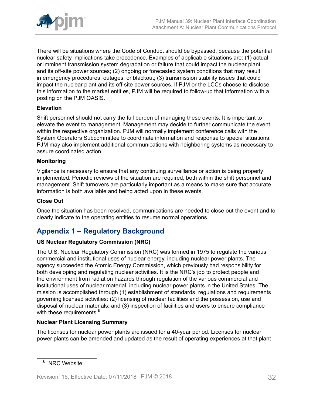

There will be situations where the Code of Conduct should be bypassed, because the potential nuclear safety implications take precedence. Examples of applicable situations are: (1) actual or imminent transmission system degradation or failure that could impact the nuclear plant and its off-site power sources; (2) ongoing or forecasted system conditions that may result in emergency procedures, outages, or blackout; (3) transmission stability issues that could impact the nuclear plant and its off-site power sources. If PJM or the LCCs choose to disclose this information to the market entiti*e*s, PJM will be required to follow-up that information with a posting on the PJM OASIS.

# **Elevation**

Shift personnel should not carry the full burden of managing these events. It is important to elevate the event to management. Management may decide to further communicate the event within the respective organization. PJM will normally implement conference calls with the System Operators Subcommittee to coordinate information and response to special situations. PJM may also implement additional communications with neighboring systems as necessary to assure coordinated action.

## **Monitoring**

Vigilance is necessary to ensure that any continuing surveillance or action is being properly implemented. Periodic reviews of the situation are required, both within the shift personnel and management. Shift turnovers are particularly important as a means to make sure that accurate information is both available and being acted upon in these events.

### **Close Out**

Once the situation has been resolved, communications are needed to close out the event and to clearly indicate to the operating entities to resume normal operations.

# <span id="page-31-0"></span>**Appendix 1 – Regulatory Background**

## **US Nuclear Regulatory Commission (NRC)**

The U.S. Nuclear Regulatory Commission (NRC) was formed in 1975 to regulate the various commercial and institutional uses of nuclear energy, including nuclear power plants. The agency succeeded the Atomic Energy Commission, which previously had responsibility for both developing and regulating nuclear activities. It is the NRC's job to protect people and the environment from radiation hazards through regulation of the various commercial and institutional uses of nuclear material, including nuclear power plants in the United States. The mission is accomplished through (1) establishment of standards, regulations and requirements governing licensed activities: (2) licensing of nuclear facilities and the possession, use and disposal of nuclear materials: and (3) inspection of facilities and users to ensure compliance with these requirements.<sup>6</sup>

## **Nuclear Plant Licensing Summary**

The licenses for nuclear power plants are issued for a 40-year period. Licenses for nuclear power plants can be amended and updated as the result of operating experiences at that plant

<sup>&</sup>lt;sup>6</sup> NRC Website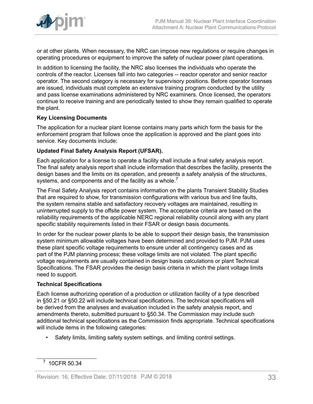

or at other plants. When necessary, the NRC can impose new regulations or require changes in operating procedures or equipment to improve the safety of nuclear power plant operations.

In addition to licensing the facility, the NRC also licenses the individuals who operate the controls of the reactor. Licenses fall into two categories -- reactor operator and senior reactor operator. The second category is necessary for supervisory positions. Before operator licenses are issued, individuals must complete an extensive training program conducted by the utility and pass license examinations administered by NRC examiners. Once licensed, the operators continue to receive training and are periodically tested to show they remain qualified to operate the plant.

# **Key Licensing Documents**

The application for a nuclear plant license contains many parts which form the basis for the enforcement program that follows once the application is approved and the plant goes into service. Key documents include:

# **Updated Final Safety Analysis Report (UFSAR).**

Each application for a license to operate a facility shall include a final safety analysis report. The final safety analysis report shall include information that describes the facility, presents the design bases and the limits on its operation, and presents a safety analysis of the structures, systems, and components and of the facility as a whole.<sup>7</sup>

The Final Safety Analysis report contains information on the plants Transient Stability Studies that are required to show, for transmission configurations with various bus and line faults, the system remains stable and satisfactory recovery voltages are maintained, resulting in uninterrupted supply to the offsite power system. The acceptance criteria are based on the reliability requirements of the applicable NERC regional reliability council along with any plant specific stability requirements listed in their FSAR or design basis documents.

In order for the nuclear power plants to be able to support their design basis, the transmission system minimum allowable voltages have been determined and provided to PJM. PJM uses these plant specific voltage requirements to ensure under all contingency cases and as part of the PJM planning process; these voltage limits are not violated. The plant specific voltage requirements are usually contained in design basis calculations or plant Technical Specifications. The FSAR provides the design basis criteria in which the plant voltage limits need to support.

## **Technical Specifications**

Each license authorizing operation of a production or utilization facility of a type described in §50.21 or §50.22 will include technical specifications. The technical specifications will be derived from the analyses and evaluation included in the safety analysis report, and amendments thereto, submitted pursuant to §50.34. The Commission may include such additional technical specifications as the Commission finds appropriate. Technical specifications will include items in the following categories:

• Safety limits, limiting safety system settings, and limiting control settings.

<sup>7</sup> 10CFR 50.34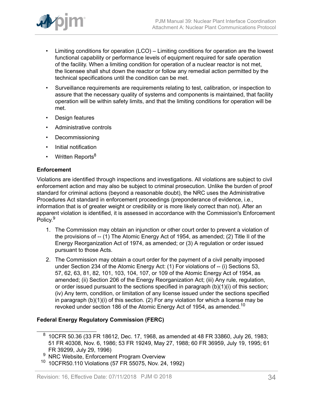

- Limiting conditions for operation (LCO) Limiting conditions for operation are the lowest functional capability or performance levels of equipment required for safe operation of the facility. When a limiting condition for operation of a nuclear reactor is not met, the licensee shall shut down the reactor or follow any remedial action permitted by the technical specifications until the condition can be met.
- Surveillance requirements are requirements relating to test, calibration, or inspection to assure that the necessary quality of systems and components is maintained, that facility operation will be within safety limits, and that the limiting conditions for operation will be met.
- Design features
- Administrative controls
- Decommissioning
- Initial notification
- Written Reports<sup>8</sup>

## **Enforcement**

Violations are identified through inspections and investigations. All violations are subject to civil enforcement action and may also be subject to criminal prosecution. Unlike the burden of proof standard for criminal actions (beyond a reasonable doubt), the NRC uses the Administrative Procedures Act standard in enforcement proceedings (preponderance of evidence, i.e., information that is of greater weight or credibility or is more likely correct than not). After an apparent violation is identified, it is assessed in accordance with the Commission's Enforcement Policy.<sup>9</sup>

- 1. The Commission may obtain an injunction or other court order to prevent a violation of the provisions of -- (1) The Atomic Energy Act of 1954, as amended; (2) Title II of the Energy Reorganization Act of 1974, as amended; or (3) A regulation or order issued pursuant to those Acts.
- 2. The Commission may obtain a court order for the payment of a civil penalty imposed under Section 234 of the Atomic Energy Act: (1) For violations of -- (i) Sections 53, 57, 62, 63, 81, 82, 101, 103, 104, 107, or 109 of the Atomic Energy Act of 1954, as amended; (ii) Section 206 of the Energy Reorganization Act; (iii) Any rule, regulation, or order issued pursuant to the sections specified in paragraph (b)(1)(i) of this section; (iv) Any term, condition, or limitation of any license issued under the sections specified in paragraph (b)(1)(i) of this section. (2) For any violation for which a license may be revoked under section 186 of the Atomic Energy Act of 1954, as amended.<sup>10</sup>

# **Federal Energy Regulatory Commission (FERC)**

 $^8\,$  10CFR 50.36 (33 FR 18612, Dec. 17, 1968, as amended at 48 FR 33860, July 26, 1983; 51 FR 40308, Nov. 6, 1986; 53 FR 19249, May 27, 1988; 60 FR 36959, July 19, 1995; 61 FR 39299, July 29, 1996)

NRC Website, Enforcement Program Overview

<sup>10</sup> 10CFR50.110 Violations (57 FR 55075, Nov. 24, 1992)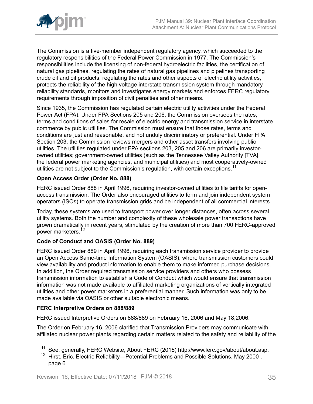

The Commission is a five-member independent regulatory agency, which succeeded to the regulatory responsibilities of the Federal Power Commission in 1977. The Commission's responsibilities include the licensing of non-federal hydroelectric facilities, the certification of natural gas pipelines, regulating the rates of natural gas pipelines and pipelines transporting crude oil and oil products, regulating the rates and other aspects of electric utility activities, protects the reliability of the high voltage interstate transmission system through mandatory reliability standards, monitors and investigates energy markets and enforces FERC regulatory requirements through imposition of civil penalties and other means.

Since 1935, the Commission has regulated certain electric utility activities under the Federal Power Act (FPA). Under FPA Sections 205 and 206, the Commission oversees the rates, terms and conditions of sales for resale of electric energy and transmission service in interstate commerce by public utilities. The Commission must ensure that those rates, terms and conditions are just and reasonable, and not unduly discriminatory or preferential. Under FPA Section 203, the Commission reviews mergers and other asset transfers involving public utilities. The utilities regulated under FPA sections 203, 205 and 206 are primarily investorowned utilities; government-owned utilities (such as the Tennessee Valley Authority [TVA], the federal power marketing agencies, and municipal utilities) and most cooperatively-owned utilities are not subject to the Commission's regulation, with certain exceptions.<sup>11</sup>

# **Open Access Order (Order No. 888)**

FERC issued Order 888 in April 1996, requiring investor-owned utilities to file tariffs for openaccess transmission. The Order also encouraged utilities to form and join independent system operators (ISOs) to operate transmission grids and be independent of all commercial interests.

Today, these systems are used to transport power over longer distances, often across several utility systems. Both the number and complexity of these wholesale power transactions have grown dramatically in recent years, stimulated by the creation of more than 700 FERC-approved power marketers.<sup>12</sup>

# **Code of Conduct and OASIS (Order No. 889)**

FERC issued Order 889 in April 1996, requiring each transmission service provider to provide an Open Access Same-time Information System (OASIS), where transmission customers could view availability and product information to enable them to make informed purchase decisions. In addition, the Order required transmission service providers and others who possess transmission information to establish a Code of Conduct which would ensure that transmission information was not made available to affiliated marketing organizations of vertically integrated utilities and other power marketers in a preferential manner. Such information was only to be made available via OASIS or other suitable electronic means.

## **FERC Interpretive Orders on 888/889**

FERC issued Interpretive Orders on 888/889 on February 16, 2006 and May 18,2006.

The Order on February 16, 2006 clarified that Transmission Providers may communicate with affiliated nuclear power plants regarding certain matters related to the safety and reliability of the

<sup>&</sup>lt;sup>11</sup> See, generally, FERC Website, About FERC (2015) http://www.ferc.gov/about/about.asp.

<sup>&</sup>lt;sup>12</sup> Hirst, Eric. Electric Reliability—Potential Problems and Possible Solutions. May 2000, page 6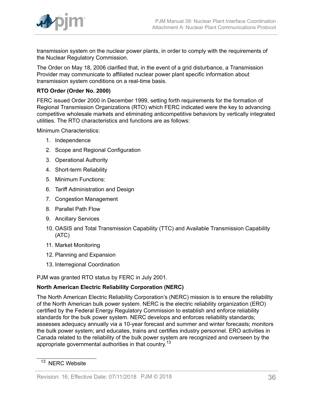

transmission system on the nuclear power plants, in order to comply with the requirements of the Nuclear Regulatory Commission.

The Order on May 18, 2006 clarified that, in the event of a grid disturbance, a Transmission Provider may communicate to affiliated nuclear power plant specific information about transmission system conditions on a real-time basis.

## **RTO Order (Order No. 2000)**

FERC issued Order 2000 in December 1999, setting forth requirements for the formation of Regional Transmission Organizations (RTO) which FERC indicated were the key to advancing competitive wholesale markets and eliminating anticompetitive behaviors by vertically integrated utilities. The RTO characteristics and functions are as follows:

Minimum Characteristics:

- 1. Independence
- 2. Scope and Regional Configuration
- 3. Operational Authority
- 4. Short-term Reliability
- 5. Minimum Functions:
- 6. Tariff Administration and Design
- 7. Congestion Management
- 8. Parallel Path Flow
- 9. Ancillary Services
- 10. OASIS and Total Transmission Capability (TTC) and Available Transmission Capability (ATC)
- 11. Market Monitoring
- 12. Planning and Expansion
- 13. Interregional Coordination

PJM was granted RTO status by FERC in July 2001.

# **North American Electric Reliability Corporation (NERC)**

The North American Electric Reliability Corporation's (NERC) mission is to ensure the reliability of the North American bulk power system. NERC is the electric reliability organization (ERO) certified by the Federal Energy Regulatory Commission to establish and enforce reliability standards for the bulk power system. NERC develops and enforces reliability standards; assesses adequacy annually via a 10-year forecast and summer and winter forecasts; monitors the bulk power system; and educates, trains and certifies industry personnel. ERO activities in Canada related to the reliability of the bulk power system are recognized and overseen by the appropriate governmental authorities in that country.<sup>13</sup>

<sup>&</sup>lt;sup>13</sup> NERC Website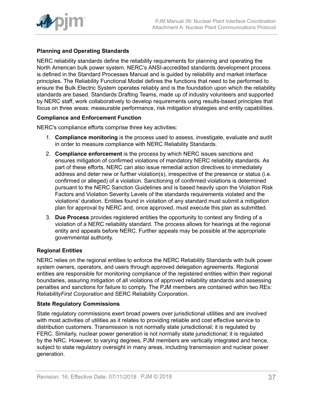

# **Planning and Operating Standards**

NERC reliability standards define the reliability requirements for planning and operating the North American bulk power system. NERC's ANSI-accredited standards development process is defined in the Standard Processes Manual and is guided by reliability and market interface principles. The Reliability Functional Model defines the functions that need to be performed to ensure the Bulk Electric System operates reliably and is the foundation upon which the reliability standards are based. Standards Drafting Teams, made up of industry volunteers and supported by NERC staff, work collaboratively to develop requirements using results-based principles that focus on three areas: measurable performance, risk mitigation strategies and entity capabilities.

## **Compliance and Enforcement Function**

NERC's compliance efforts comprise three key activities:

- 1. **Compliance monitoring** is the process used to assess, investigate, evaluate and audit in order to measure compliance with NERC Reliability Standards.
- 2. **Compliance enforcement** is the process by which NERC issues sanctions and ensures mitigation of confirmed violations of mandatory NERC reliability standards. As part of these efforts, NERC can also issue remedial action directives to immediately address and deter new or further violation(s), irrespective of the presence or status (i.e. confirmed or alleged) of a violation. Sanctioning of confirmed violations is determined pursuant to the NERC Sanction Guidelines and is based heavily upon the Violation Risk Factors and Violation Severity Levels of the standards requirements violated and the violations' duration. Entities found in violation of any standard must submit a mitigation plan for approval by NERC and, once approved, must execute this plan as submitted.
- 3. **Due Process** provides registered entities the opportunity to contest any finding of a violation of a NERC reliability standard. The process allows for hearings at the regional entity and appeals before NERC. Further appeals may be possible at the appropriate governmental authority.

## **Regional Entities**

NERC relies on the regional entities to enforce the NERC Reliability Standards with bulk power system owners, operators, and users through approved delegation agreements. Regional entities are responsible for monitoring compliance of the registered entities within their regional boundaries, assuring mitigation of all violations of approved reliability standards and assessing penalties and sanctions for failure to comply. The PJM members are contained within two REs: Reliability*First Corporation* and SERC Reliability Corporation.

## **State Regulatory Commissions**

State regulatory commissions exert broad powers over jurisdictional utilities and are involved with most activities of utilities as it relates to providing reliable and cost effective service to distribution customers. Transmission is not normally state jurisdictional; it is regulated by FERC. Similarly, nuclear power generation is not normally state jurisdictional; it is regulated by the NRC. However, to varying degrees, PJM members are vertically integrated and hence, subject to state regulatory oversight in many areas, including transmission and nuclear power generation.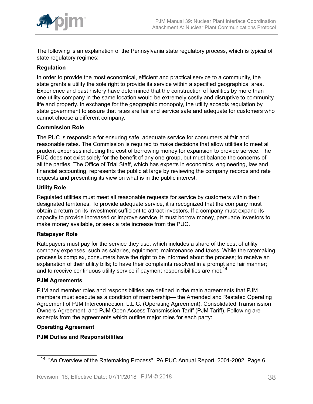

The following is an explanation of the Pennsylvania state regulatory process, which is typical of state regulatory regimes:

# **Regulation**

In order to provide the most economical, efficient and practical service to a community, the state grants a utility the sole right to provide its service within a specified geographical area. Experience and past history have determined that the construction of facilities by more than one utility company in the same location would be extremely costly and disruptive to community life and property. In exchange for the geographic monopoly, the utility accepts regulation by state government to assure that rates are fair and service safe and adequate for customers who cannot choose a different company.

## **Commission Role**

The PUC is responsible for ensuring safe, adequate service for consumers at fair and reasonable rates. The Commission is required to make decisions that allow utilities to meet all prudent expenses including the cost of borrowing money for expansion to provide service. The PUC does not exist solely for the benefit of any one group, but must balance the concerns of all the parties. The Office of Trial Staff, which has experts in economics, engineering, law and financial accounting, represents the public at large by reviewing the company records and rate requests and presenting its view on what is in the public interest.

## **Utility Role**

Regulated utilities must meet all reasonable requests for service by customers within their designated territories. To provide adequate service, it is recognized that the company must obtain a return on its investment sufficient to attract investors. If a company must expand its capacity to provide increased or improve service, it must borrow money, persuade investors to make money available, or seek a rate increase from the PUC.

## **Ratepayer Role**

Ratepayers must pay for the service they use, which includes a share of the cost of utility company expenses, such as salaries, equipment, maintenance and taxes. While the ratemaking process is complex, consumers have the right to be informed about the process; to receive an explanation of their utility bills; to have their complaints resolved in a prompt and fair manner; and to receive continuous utility service if payment responsibilities are met.<sup>14</sup>

## **PJM Agreements**

PJM and member roles and responsibilities are defined in the main agreements that PJM members must execute as a condition of membership— the Amended and Restated Operating Agreement of PJM Interconnection, L.L.C. (Operating Agreement), Consolidated Transmission Owners Agreement, and PJM Open Access Transmission Tariff (PJM Tariff). Following are excerpts from the agreements which outline major roles for each party:

## **Operating Agreement**

## **PJM Duties and Responsibilities**

<sup>&</sup>lt;sup>14</sup> "An Overview of the Ratemaking Process", PA PUC Annual Report, 2001-2002, Page 6.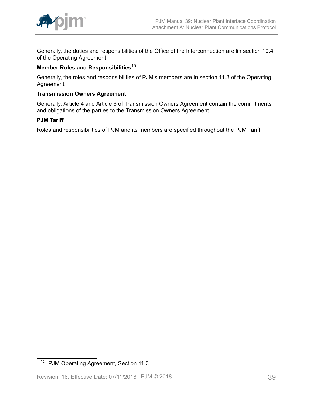

Generally, the duties and responsibilities of the Office of the Interconnection are lin section 10.4 of the Operating Agreement.

# **Member Roles and Responsibilities**<sup>15</sup>

Generally, the roles and responsibilities of PJM's members are in section 11.3 of the Operating Agreement.

# **Transmission Owners Agreement**

Generally, Article 4 and Article 6 of Transmission Owners Agreement contain the commitments and obligations of the parties to the Transmission Owners Agreement.

#### **PJM Tariff**

Roles and responsibilities of PJM and its members are specified throughout the PJM Tariff.

<sup>15</sup> PJM Operating Agreement, Section 11.3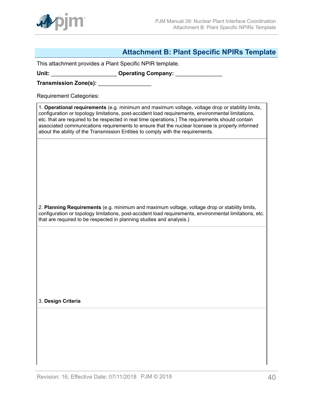

# <span id="page-39-0"></span>**Attachment B: Plant Specific NPIRs Template**

This attachment provides a Plant Specific NPIR template.

Unit: **With Lines and Science Company: Operating Company: Company: Company: Company: Company: Company: Company: Company: Company: Company: Company: Company: Company: Company: Company: Compan** 

**Transmission Zone(s):** \_\_\_\_\_\_\_\_\_\_\_\_\_\_\_\_\_

Requirement Categories:

1. **Operational requirements** (e.g. minimum and maximum voltage, voltage drop or stability limits, configuration or topology limitations, post-accident load requirements, environmental limitations, etc. that are required to be respected in real time operations.) The requirements should contain associated communications requirements to ensure that the nuclear licensee is properly informed about the ability of the Transmission Entities to comply with the requirements.

2. **Planning Requirements** (e.g. minimum and maximum voltage, voltage drop or stability limits, configuration or topology limitations, post-accident load requirements, environmental limitations, etc. that are required to be respected in planning studies and analysis.)

3. **Design Criteria**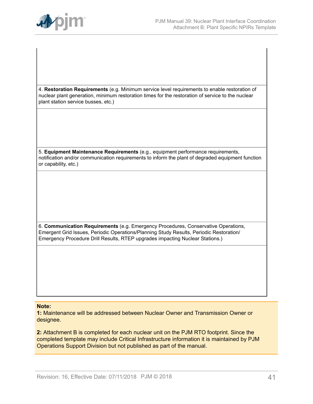

4. **Restoration Requirements** (e.g. Minimum service level requirements to enable restoration of nuclear plant generation, minimum restoration times for the restoration of service to the nuclear plant station service busses, etc.)

5. **Equipment Maintenance Requirements** (e.g., equipment performance requirements, notification and/or communication requirements to inform the plant of degraded equipment function or capability, etc.)

6. **Communication Requirements** (e.g. Emergency Procedures, Conservative Operations, Emergent Grid Issues, Periodic Operations/Planning Study Results, Periodic Restoration/ Emergency Procedure Drill Results, RTEP upgrades impacting Nuclear Stations.)

#### **Note:**

**1:** Maintenance will be addressed between Nuclear Owner and Transmission Owner or designee.

**2:** Attachment B is completed for each nuclear unit on the PJM RTO footprint. Since the completed template may include Critical Infrastructure information it is maintained by PJM Operations Support Division but not published as part of the manual.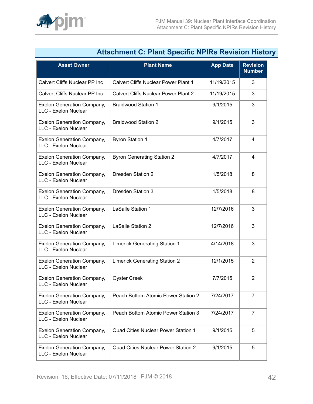<span id="page-41-0"></span>

|                                                           | <b>Attachment C: Plant Specific NPIRS Revision Histol</b> |                 |                                  |
|-----------------------------------------------------------|-----------------------------------------------------------|-----------------|----------------------------------|
| <b>Asset Owner</b>                                        | <b>Plant Name</b>                                         | <b>App Date</b> | <b>Revision</b><br><b>Number</b> |
| Calvert Cliffs Nuclear PP Inc                             | <b>Calvert Cliffs Nuclear Power Plant 1</b>               | 11/19/2015      | 3                                |
| Calvert Cliffs Nuclear PP Inc                             | <b>Calvert Cliffs Nuclear Power Plant 2</b>               | 11/19/2015      | 3                                |
| <b>Exelon Generation Company,</b><br>LLC - Exelon Nuclear | <b>Braidwood Station 1</b>                                | 9/1/2015        | 3                                |
| <b>Exelon Generation Company,</b><br>LLC - Exelon Nuclear | <b>Braidwood Station 2</b>                                | 9/1/2015        | 3                                |
| <b>Exelon Generation Company,</b><br>LLC - Exelon Nuclear | <b>Byron Station 1</b>                                    | 4/7/2017        | $\overline{4}$                   |
| <b>Exelon Generation Company,</b><br>LLC - Exelon Nuclear | <b>Byron Generating Station 2</b>                         | 4/7/2017        | $\overline{4}$                   |
| <b>Exelon Generation Company,</b><br>LLC - Exelon Nuclear | <b>Dresden Station 2</b>                                  | 1/5/2018        | 8                                |
| <b>Exelon Generation Company,</b><br>LLC - Exelon Nuclear | <b>Dresden Station 3</b>                                  | 1/5/2018        | 8                                |
| <b>Exelon Generation Company,</b><br>LLC - Exelon Nuclear | LaSalle Station 1                                         | 12/7/2016       | 3                                |
| <b>Exelon Generation Company,</b><br>LLC - Exelon Nuclear | LaSalle Station 2                                         | 12/7/2016       | 3                                |
| <b>Exelon Generation Company,</b><br>LLC - Exelon Nuclear | <b>Limerick Generating Station 1</b>                      | 4/14/2018       | 3                                |
| <b>Exelon Generation Company,</b><br>LLC - Exelon Nuclear | <b>Limerick Generating Station 2</b>                      | 12/1/2015       | $\overline{2}$                   |
| <b>Exelon Generation Company,</b><br>LLC - Exelon Nuclear | <b>Oyster Creek</b>                                       | 7/7/2015        | $\overline{\mathbf{c}}$          |
| <b>Exelon Generation Company,</b><br>LLC - Exelon Nuclear | Peach Bottom Atomic Power Station 2                       | 7/24/2017       | $\overline{7}$                   |
| <b>Exelon Generation Company,</b><br>LLC - Exelon Nuclear | Peach Bottom Atomic Power Station 3                       | 7/24/2017       | $\overline{7}$                   |
| <b>Exelon Generation Company,</b><br>LLC - Exelon Nuclear | Quad Cities Nuclear Power Station 1                       | 9/1/2015        | 5                                |
| <b>Exelon Generation Company,</b><br>LLC - Exelon Nuclear | <b>Quad Cities Nuclear Power Station 2</b>                | 9/1/2015        | 5                                |
|                                                           |                                                           |                 |                                  |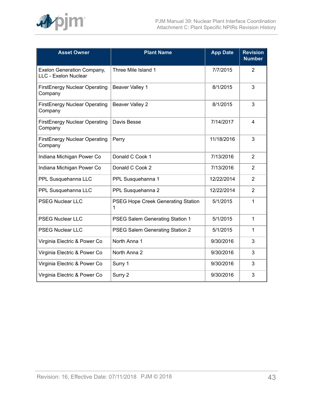

| <b>Asset Owner</b>                                        | <b>Plant Name</b>                       | <b>App Date</b> | <b>Revision</b><br><b>Number</b> |
|-----------------------------------------------------------|-----------------------------------------|-----------------|----------------------------------|
| <b>Exelon Generation Company,</b><br>LLC - Exelon Nuclear | Three Mile Island 1                     | 7/7/2015        | $\overline{2}$                   |
| <b>FirstEnergy Nuclear Operating</b><br>Company           | Beaver Valley 1                         | 8/1/2015        | 3                                |
| <b>FirstEnergy Nuclear Operating</b><br>Company           | <b>Beaver Valley 2</b>                  | 8/1/2015        | 3                                |
| <b>FirstEnergy Nuclear Operating</b><br>Company           | Davis Besse                             | 7/14/2017       | 4                                |
| <b>FirstEnergy Nuclear Operating</b><br>Company           | Perry                                   | 11/18/2016      | 3                                |
| Indiana Michigan Power Co                                 | Donald C Cook 1                         | 7/13/2016       | 2                                |
| Indiana Michigan Power Co                                 | Donald C Cook 2                         | 7/13/2016       | $\overline{2}$                   |
| PPL Susquehanna LLC                                       | PPL Susquehanna 1                       | 12/22/2014      | 2                                |
| PPL Susquehanna LLC                                       | PPL Susquehanna 2                       | 12/22/2014      | $\overline{2}$                   |
| <b>PSEG Nuclear LLC</b>                                   | PSEG Hope Creek Generating Station<br>1 | 5/1/2015        | 1                                |
| <b>PSEG Nuclear LLC</b>                                   | PSEG Salem Generating Station 1         | 5/1/2015        | 1                                |
| <b>PSEG Nuclear LLC</b>                                   | PSEG Salem Generating Station 2         | 5/1/2015        | 1                                |
| Virginia Electric & Power Co                              | North Anna 1                            | 9/30/2016       | 3                                |
| Virginia Electric & Power Co                              | North Anna 2                            | 9/30/2016       | 3                                |
| Virginia Electric & Power Co                              | Surry 1                                 | 9/30/2016       | 3                                |
| Virginia Electric & Power Co                              | Surry 2                                 | 9/30/2016       | 3                                |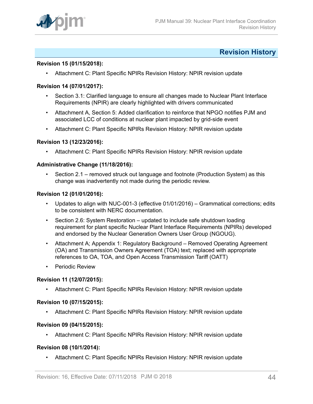

# <span id="page-43-0"></span>**Revision History**

#### **Revision 15 (01/15/2018):**

• Attachment C: Plant Specific NPIRs Revision History: NPIR revision update

### **Revision 14 (07/01/2017):**

- Section 3.1: Clarified language to ensure all changes made to Nuclear Plant Interface Requirements (NPIR) are clearly highlighted with drivers communicated
- Attachment A, Section 5: Added clarification to reinforce that NPGO notifies PJM and associated LCC of conditions at nuclear plant impacted by grid-side event
- Attachment C: Plant Specific NPIRs Revision History: NPIR revision update

#### **Revision 13 (12/23/2016):**

• Attachment C: Plant Specific NPIRs Revision History: NPIR revision update

#### **Administrative Change (11/18/2016):**

• Section 2.1 – removed struck out language and footnote (Production System) as this change was inadvertently not made during the periodic review.

#### **Revision 12 (01/01/2016):**

- Updates to align with NUC-001-3 (effective 01/01/2016) Grammatical corrections; edits to be consistent with NERC documentation.
- Section 2.6: System Restoration updated to include safe shutdown loading requirement for plant specific Nuclear Plant Interface Requirements (NPIRs) developed and endorsed by the Nuclear Generation Owners User Group (NGOUG).
- Attachment A; Appendix 1: Regulatory Background Removed Operating Agreement (OA) and Transmission Owners Agreement (TOA) text; replaced with appropriate references to OA, TOA, and Open Access Transmission Tariff (OATT)
- Periodic Review

## **Revision 11 (12/07/2015):**

• Attachment C: Plant Specific NPIRs Revision History: NPIR revision update

#### **Revision 10 (07/15/2015):**

• Attachment C: Plant Specific NPIRs Revision History: NPIR revision update

#### **Revision 09 (04/15/2015):**

• Attachment C: Plant Specific NPIRs Revision History: NPIR revision update

#### **Revision 08 (10/1/2014):**

• Attachment C: Plant Specific NPIRs Revision History: NPIR revision update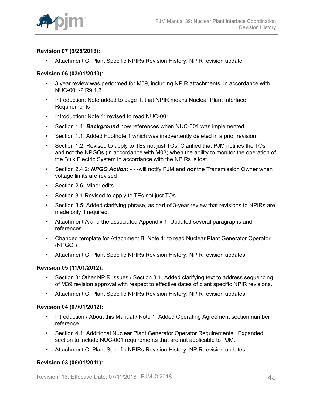# **Revision 07 (9/25/2013):**

• Attachment C: Plant Specific NPIRs Revision History: NPIR revision update

# **Revision 06 (03/01/2013):**

- 3 year review was performed for M39, including NPIR attachments, in accordance with NUC-001-2 R9.1.3
- Introduction: Note added to page 1, that NPIR means Nuclear Plant Interface Requirements
- Introduction: Note 1: revised to read NUC-001
- Section 1.1: *Background* now references when NUC-001 was implemented
- Section 1.1: Added Footnote 1 which was inadvertently deleted in a prior revision.
- Section 1.2: Revised to apply to TEs not just TOs. Clarified that PJM notifies the TOs and not the NPGOs (in accordance with M03) when the ability to monitor the operation of the Bulk Electric System in accordance with the NPIRs is lost.
- Section 2.4.2: *NPGO Action:*  - -will notify PJM and *not* the Transmission Owner when voltage limits are revised
- Section 2.6: Minor edits.
- Section 3.1 Revised to apply to TEs not just TOs.
- Section 3.5: Added clarifying phrase, as part of 3-year review that revisions to NPIRs are made only if required.
- Attachment A and the associated Appendix 1: Updated several paragraphs and references.
- Changed template for Attachment B, Note 1: to read Nuclear Plant Generator Operator (NPGO )
- Attachment C: Plant Specific NPIRs Revision History: NPIR revision updates.

## **Revision 05 (11/01/2012):**

- Section 3: Other NPIR Issues / Section 3.1: Added clarifying text to address sequencing of M39 revision approval with respect to effective dates of plant specific NPIR revisions.
- Attachment C: Plant Specific NPIRs Revision History: NPIR revision updates.

## **Revision 04 (07/01/2012):**

- Introduction / About this Manual / Note 1: Added Operating Agreement section number reference.
- Section 4.1: Additional Nuclear Plant Generator Operator Requirements: Expanded section to include NUC-001 requirements that are not applicable to PJM.
- Attachment C: Plant Specific NPIRs Revision History: NPIR revision updates.

# **Revision 03 (06/01/2011):**